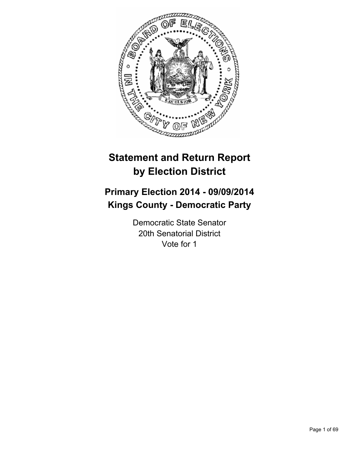

# **Statement and Return Report by Election District**

# **Primary Election 2014 - 09/09/2014 Kings County - Democratic Party**

Democratic State Senator 20th Senatorial District Vote for 1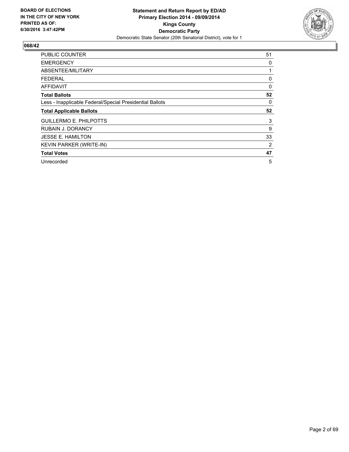

| PUBLIC COUNTER                                           | 51 |
|----------------------------------------------------------|----|
| <b>EMERGENCY</b>                                         | 0  |
| ABSENTEE/MILITARY                                        |    |
| FEDERAL                                                  | 0  |
| <b>AFFIDAVIT</b>                                         | 0  |
| <b>Total Ballots</b>                                     | 52 |
| Less - Inapplicable Federal/Special Presidential Ballots | 0  |
| <b>Total Applicable Ballots</b>                          | 52 |
| <b>GUILLERMO E. PHILPOTTS</b>                            | 3  |
| <b>RUBAIN J. DORANCY</b>                                 | 9  |
| <b>JESSE E. HAMILTON</b>                                 | 33 |
| <b>KEVIN PARKER (WRITE-IN)</b>                           | 2  |
| <b>Total Votes</b>                                       | 47 |
| Unrecorded                                               |    |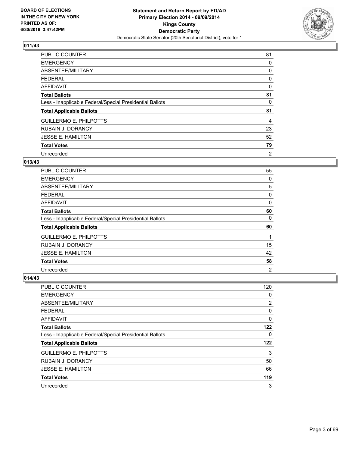

| PUBLIC COUNTER                                           | 81 |
|----------------------------------------------------------|----|
| <b>EMERGENCY</b>                                         | 0  |
| ABSENTEE/MILITARY                                        | 0  |
| <b>FEDERAL</b>                                           | 0  |
| AFFIDAVIT                                                | 0  |
| <b>Total Ballots</b>                                     | 81 |
| Less - Inapplicable Federal/Special Presidential Ballots | 0  |
| <b>Total Applicable Ballots</b>                          | 81 |
| <b>GUILLERMO E. PHILPOTTS</b>                            | 4  |
| <b>RUBAIN J. DORANCY</b>                                 | 23 |
| <b>JESSE E. HAMILTON</b>                                 | 52 |
| <b>Total Votes</b>                                       | 79 |
| Unrecorded                                               | 2  |

## **013/43**

| <b>PUBLIC COUNTER</b>                                    | 55             |
|----------------------------------------------------------|----------------|
| <b>EMERGENCY</b>                                         | 0              |
| ABSENTEE/MILITARY                                        | 5              |
| <b>FEDERAL</b>                                           | 0              |
| AFFIDAVIT                                                | 0              |
| <b>Total Ballots</b>                                     | 60             |
| Less - Inapplicable Federal/Special Presidential Ballots | 0              |
| <b>Total Applicable Ballots</b>                          | 60             |
| <b>GUILLERMO E. PHILPOTTS</b>                            | 1              |
| <b>RUBAIN J. DORANCY</b>                                 | 15             |
| <b>JESSE E. HAMILTON</b>                                 | 42             |
| <b>Total Votes</b>                                       | 58             |
| Unrecorded                                               | $\overline{2}$ |

| PUBLIC COUNTER                                           | 120 |
|----------------------------------------------------------|-----|
| <b>EMERGENCY</b>                                         | 0   |
| ABSENTEE/MILITARY                                        | 2   |
| <b>FEDERAL</b>                                           | 0   |
| AFFIDAVIT                                                | 0   |
| <b>Total Ballots</b>                                     | 122 |
| Less - Inapplicable Federal/Special Presidential Ballots | 0   |
| <b>Total Applicable Ballots</b>                          | 122 |
| <b>GUILLERMO E. PHILPOTTS</b>                            | 3   |
| <b>RUBAIN J. DORANCY</b>                                 | 50  |
| <b>JESSE E. HAMILTON</b>                                 | 66  |
| <b>Total Votes</b>                                       | 119 |
| Unrecorded                                               | 3   |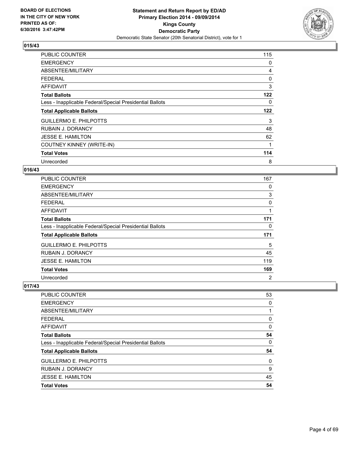

| <b>PUBLIC COUNTER</b>                                    | 115 |
|----------------------------------------------------------|-----|
| <b>EMERGENCY</b>                                         | 0   |
| ABSENTEE/MILITARY                                        | 4   |
| <b>FEDERAL</b>                                           | 0   |
| AFFIDAVIT                                                | 3   |
| <b>Total Ballots</b>                                     | 122 |
| Less - Inapplicable Federal/Special Presidential Ballots | 0   |
| <b>Total Applicable Ballots</b>                          | 122 |
|                                                          |     |
| <b>GUILLERMO E. PHILPOTTS</b>                            | 3   |
| <b>RUBAIN J. DORANCY</b>                                 | 48  |
| <b>JESSE E. HAMILTON</b>                                 | 62  |
| COUTNEY KINNEY (WRITE-IN)                                | 1   |
| <b>Total Votes</b>                                       | 114 |

## **016/43**

| <b>PUBLIC COUNTER</b>                                    | 167 |
|----------------------------------------------------------|-----|
| <b>EMERGENCY</b>                                         | 0   |
| ABSENTEE/MILITARY                                        | 3   |
| <b>FEDERAL</b>                                           | 0   |
| <b>AFFIDAVIT</b>                                         | 1   |
| <b>Total Ballots</b>                                     | 171 |
| Less - Inapplicable Federal/Special Presidential Ballots | 0   |
| <b>Total Applicable Ballots</b>                          | 171 |
| <b>GUILLERMO E. PHILPOTTS</b>                            | 5   |
| <b>RUBAIN J. DORANCY</b>                                 | 45  |
| <b>JESSE E. HAMILTON</b>                                 | 119 |
| <b>Total Votes</b>                                       | 169 |
| Unrecorded                                               | 2   |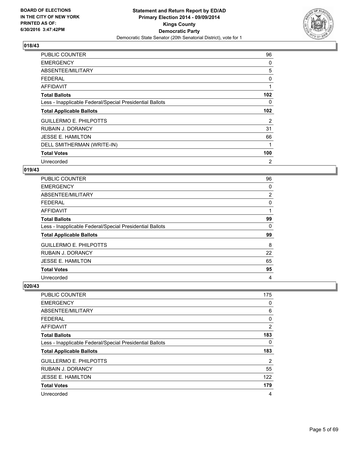

| <b>PUBLIC COUNTER</b>                                    | 96               |
|----------------------------------------------------------|------------------|
| <b>EMERGENCY</b>                                         | 0                |
| ABSENTEE/MILITARY                                        | 5                |
| <b>FEDERAL</b>                                           | 0                |
| AFFIDAVIT                                                | 1                |
| <b>Total Ballots</b>                                     | 102              |
| Less - Inapplicable Federal/Special Presidential Ballots | 0                |
| <b>Total Applicable Ballots</b>                          | 102 <sub>2</sub> |
| <b>GUILLERMO E. PHILPOTTS</b>                            | 2                |
| <b>RUBAIN J. DORANCY</b>                                 | 31               |
| <b>JESSE E. HAMILTON</b>                                 | 66               |
| DELL SMITHERMAN (WRITE-IN)                               | 1                |
| <b>Total Votes</b>                                       | 100              |
|                                                          |                  |

## **019/43**

| PUBLIC COUNTER                                           | 96 |
|----------------------------------------------------------|----|
| <b>EMERGENCY</b>                                         | 0  |
| ABSENTEE/MILITARY                                        | 2  |
| <b>FEDERAL</b>                                           | 0  |
| AFFIDAVIT                                                | 1  |
| <b>Total Ballots</b>                                     | 99 |
| Less - Inapplicable Federal/Special Presidential Ballots | 0  |
| <b>Total Applicable Ballots</b>                          | 99 |
| <b>GUILLERMO E. PHILPOTTS</b>                            | 8  |
| <b>RUBAIN J. DORANCY</b>                                 | 22 |
| <b>JESSE E. HAMILTON</b>                                 | 65 |
| <b>Total Votes</b>                                       | 95 |
| Unrecorded                                               | 4  |

| PUBLIC COUNTER                                           | 175 |
|----------------------------------------------------------|-----|
| <b>EMERGENCY</b>                                         | 0   |
| ABSENTEE/MILITARY                                        | 6   |
| <b>FEDERAL</b>                                           | 0   |
| AFFIDAVIT                                                | 2   |
| <b>Total Ballots</b>                                     | 183 |
| Less - Inapplicable Federal/Special Presidential Ballots | 0   |
| <b>Total Applicable Ballots</b>                          | 183 |
| <b>GUILLERMO E. PHILPOTTS</b>                            | 2   |
| <b>RUBAIN J. DORANCY</b>                                 | 55  |
| <b>JESSE E. HAMILTON</b>                                 | 122 |
| <b>Total Votes</b>                                       | 179 |
| Unrecorded                                               | 4   |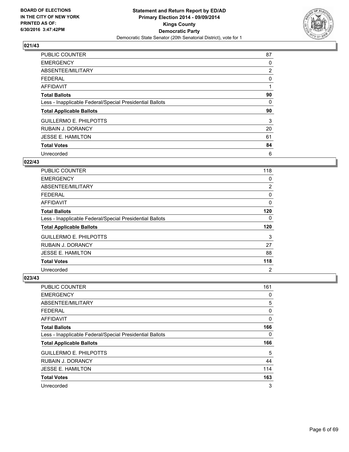

| PUBLIC COUNTER                                           | 87             |
|----------------------------------------------------------|----------------|
| <b>EMERGENCY</b>                                         | 0              |
| ABSENTEE/MILITARY                                        | $\overline{2}$ |
| <b>FEDERAL</b>                                           | 0              |
| AFFIDAVIT                                                |                |
| <b>Total Ballots</b>                                     | 90             |
| Less - Inapplicable Federal/Special Presidential Ballots | 0              |
| <b>Total Applicable Ballots</b>                          | 90             |
| <b>GUILLERMO E. PHILPOTTS</b>                            | 3              |
| <b>RUBAIN J. DORANCY</b>                                 | 20             |
| <b>JESSE E. HAMILTON</b>                                 | 61             |
| <b>Total Votes</b>                                       | 84             |
| Unrecorded                                               | 6              |

## **022/43**

| <b>PUBLIC COUNTER</b>                                    | 118            |
|----------------------------------------------------------|----------------|
| <b>EMERGENCY</b>                                         | 0              |
| ABSENTEE/MILITARY                                        | 2              |
| <b>FEDERAL</b>                                           | 0              |
| AFFIDAVIT                                                | 0              |
| <b>Total Ballots</b>                                     | 120            |
| Less - Inapplicable Federal/Special Presidential Ballots | 0              |
| <b>Total Applicable Ballots</b>                          | 120            |
| <b>GUILLERMO E. PHILPOTTS</b>                            | 3              |
| <b>RUBAIN J. DORANCY</b>                                 | 27             |
| <b>JESSE E. HAMILTON</b>                                 | 88             |
| <b>Total Votes</b>                                       | 118            |
| Unrecorded                                               | $\overline{2}$ |

| PUBLIC COUNTER                                           | 161 |
|----------------------------------------------------------|-----|
| <b>EMERGENCY</b>                                         | 0   |
| ABSENTEE/MILITARY                                        | 5   |
| <b>FEDERAL</b>                                           | 0   |
| AFFIDAVIT                                                | 0   |
| <b>Total Ballots</b>                                     | 166 |
| Less - Inapplicable Federal/Special Presidential Ballots | 0   |
| <b>Total Applicable Ballots</b>                          | 166 |
| <b>GUILLERMO E. PHILPOTTS</b>                            | 5   |
| <b>RUBAIN J. DORANCY</b>                                 | 44  |
| <b>JESSE E. HAMILTON</b>                                 | 114 |
| <b>Total Votes</b>                                       | 163 |
| Unrecorded                                               | 3   |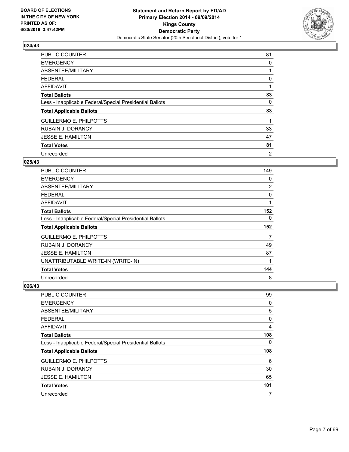

| <b>PUBLIC COUNTER</b>                                    | 81 |
|----------------------------------------------------------|----|
| <b>EMERGENCY</b>                                         | 0  |
| ABSENTEE/MILITARY                                        |    |
| <b>FEDERAL</b>                                           | 0  |
| AFFIDAVIT                                                |    |
| <b>Total Ballots</b>                                     | 83 |
| Less - Inapplicable Federal/Special Presidential Ballots | 0  |
| <b>Total Applicable Ballots</b>                          | 83 |
| <b>GUILLERMO E. PHILPOTTS</b>                            |    |
| <b>RUBAIN J. DORANCY</b>                                 | 33 |
| <b>JESSE E. HAMILTON</b>                                 | 47 |
| <b>Total Votes</b>                                       | 81 |
| Unrecorded                                               | 2  |

## **025/43**

| PUBLIC COUNTER                                           | 149            |
|----------------------------------------------------------|----------------|
| <b>EMERGENCY</b>                                         | 0              |
| ABSENTEE/MILITARY                                        | $\overline{2}$ |
| <b>FEDERAL</b>                                           | 0              |
| AFFIDAVIT                                                | 1              |
| <b>Total Ballots</b>                                     | 152            |
| Less - Inapplicable Federal/Special Presidential Ballots | 0              |
| <b>Total Applicable Ballots</b>                          | 152            |
|                                                          |                |
| <b>GUILLERMO E. PHILPOTTS</b>                            | 7              |
| <b>RUBAIN J. DORANCY</b>                                 | 49             |
| <b>JESSE E. HAMILTON</b>                                 | 87             |
| UNATTRIBUTABLE WRITE-IN (WRITE-IN)                       | 1              |
| <b>Total Votes</b>                                       | 144            |

| <b>PUBLIC COUNTER</b>                                    | 99  |
|----------------------------------------------------------|-----|
| <b>EMERGENCY</b>                                         | 0   |
| ABSENTEE/MILITARY                                        | 5   |
| <b>FEDERAL</b>                                           | 0   |
| AFFIDAVIT                                                | 4   |
| <b>Total Ballots</b>                                     | 108 |
| Less - Inapplicable Federal/Special Presidential Ballots | 0   |
| <b>Total Applicable Ballots</b>                          | 108 |
| <b>GUILLERMO E. PHILPOTTS</b>                            | 6   |
| <b>RUBAIN J. DORANCY</b>                                 | 30  |
| <b>JESSE E. HAMILTON</b>                                 | 65  |
| <b>Total Votes</b>                                       | 101 |
| Unrecorded                                               | 7   |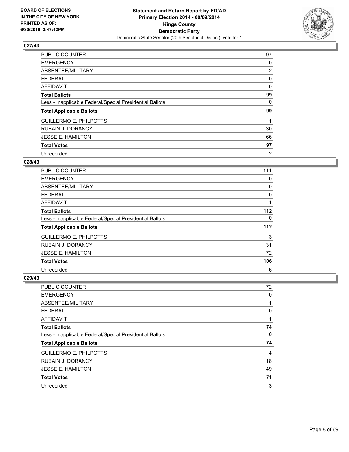

| <b>PUBLIC COUNTER</b>                                    | 97             |
|----------------------------------------------------------|----------------|
| <b>EMERGENCY</b>                                         | 0              |
| ABSENTEE/MILITARY                                        | $\overline{2}$ |
| FEDERAL                                                  | 0              |
| AFFIDAVIT                                                | 0              |
| <b>Total Ballots</b>                                     | 99             |
| Less - Inapplicable Federal/Special Presidential Ballots | 0              |
| <b>Total Applicable Ballots</b>                          | 99             |
| <b>GUILLERMO E. PHILPOTTS</b>                            |                |
| <b>RUBAIN J. DORANCY</b>                                 | 30             |
| <b>JESSE E. HAMILTON</b>                                 | 66             |
| <b>Total Votes</b>                                       | 97             |
| Unrecorded                                               | 2              |

## **028/43**

| <b>PUBLIC COUNTER</b>                                    | 111   |
|----------------------------------------------------------|-------|
| <b>EMERGENCY</b>                                         | 0     |
| ABSENTEE/MILITARY                                        | 0     |
| <b>FEDERAL</b>                                           | 0     |
| AFFIDAVIT                                                |       |
| <b>Total Ballots</b>                                     | 112   |
| Less - Inapplicable Federal/Special Presidential Ballots | 0     |
| <b>Total Applicable Ballots</b>                          | $112$ |
| <b>GUILLERMO E. PHILPOTTS</b>                            | 3     |
| <b>RUBAIN J. DORANCY</b>                                 | 31    |
| <b>JESSE E. HAMILTON</b>                                 | 72    |
| <b>Total Votes</b>                                       | 106   |
| Unrecorded                                               | 6     |

| <b>PUBLIC COUNTER</b>                                    | 72 |
|----------------------------------------------------------|----|
| <b>EMERGENCY</b>                                         | 0  |
| ABSENTEE/MILITARY                                        |    |
| <b>FEDERAL</b>                                           | 0  |
| AFFIDAVIT                                                |    |
| <b>Total Ballots</b>                                     | 74 |
| Less - Inapplicable Federal/Special Presidential Ballots | 0  |
| <b>Total Applicable Ballots</b>                          | 74 |
| <b>GUILLERMO E. PHILPOTTS</b>                            | 4  |
| <b>RUBAIN J. DORANCY</b>                                 | 18 |
| <b>JESSE E. HAMILTON</b>                                 | 49 |
| <b>Total Votes</b>                                       | 71 |
| Unrecorded                                               | 3  |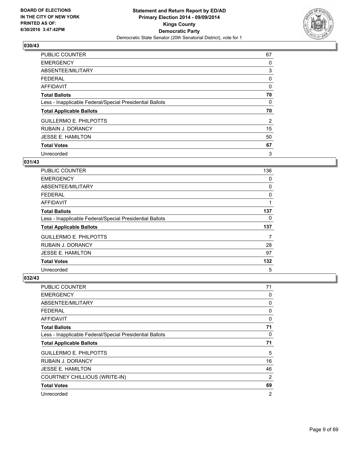

| PUBLIC COUNTER                                           | 67 |
|----------------------------------------------------------|----|
| <b>EMERGENCY</b>                                         | 0  |
| ABSENTEE/MILITARY                                        | 3  |
| <b>FEDERAL</b>                                           | 0  |
| AFFIDAVIT                                                | 0  |
| <b>Total Ballots</b>                                     | 70 |
| Less - Inapplicable Federal/Special Presidential Ballots | 0  |
| <b>Total Applicable Ballots</b>                          | 70 |
| <b>GUILLERMO E. PHILPOTTS</b>                            | 2  |
| <b>RUBAIN J. DORANCY</b>                                 | 15 |
| <b>JESSE E. HAMILTON</b>                                 | 50 |
| <b>Total Votes</b>                                       | 67 |
| Unrecorded                                               | 3  |

# **031/43**

| <b>PUBLIC COUNTER</b>                                    | 136 |
|----------------------------------------------------------|-----|
| <b>EMERGENCY</b>                                         | 0   |
| ABSENTEE/MILITARY                                        | 0   |
| <b>FEDERAL</b>                                           | 0   |
| AFFIDAVIT                                                |     |
| <b>Total Ballots</b>                                     | 137 |
| Less - Inapplicable Federal/Special Presidential Ballots | 0   |
| <b>Total Applicable Ballots</b>                          | 137 |
| <b>GUILLERMO E. PHILPOTTS</b>                            | 7   |
| <b>RUBAIN J. DORANCY</b>                                 | 28  |
| <b>JESSE E. HAMILTON</b>                                 | 97  |
| <b>Total Votes</b>                                       | 132 |
| Unrecorded                                               | 5   |

| PUBLIC COUNTER                                           | 71             |
|----------------------------------------------------------|----------------|
| <b>EMERGENCY</b>                                         | 0              |
| ABSENTEE/MILITARY                                        | 0              |
| <b>FEDERAL</b>                                           | 0              |
| AFFIDAVIT                                                | 0              |
| <b>Total Ballots</b>                                     | 71             |
| Less - Inapplicable Federal/Special Presidential Ballots | 0              |
| <b>Total Applicable Ballots</b>                          | 71             |
| <b>GUILLERMO E. PHILPOTTS</b>                            | 5              |
| <b>RUBAIN J. DORANCY</b>                                 | 16             |
| <b>JESSE E. HAMILTON</b>                                 | 46             |
| <b>COURTNEY CHILLIOUS (WRITE-IN)</b>                     | 2              |
| <b>Total Votes</b>                                       | 69             |
| Unrecorded                                               | $\overline{2}$ |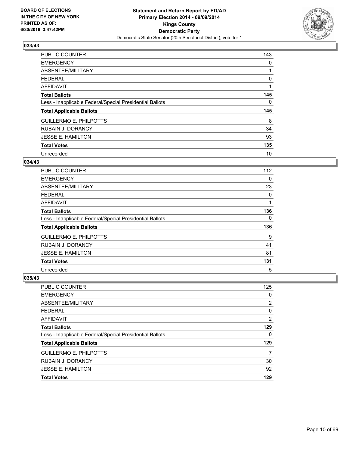

| <b>PUBLIC COUNTER</b>                                    | 143 |
|----------------------------------------------------------|-----|
| <b>EMERGENCY</b>                                         | 0   |
| ABSENTEE/MILITARY                                        |     |
| <b>FEDERAL</b>                                           | 0   |
| AFFIDAVIT                                                |     |
| <b>Total Ballots</b>                                     | 145 |
| Less - Inapplicable Federal/Special Presidential Ballots | 0   |
| <b>Total Applicable Ballots</b>                          | 145 |
| <b>GUILLERMO E. PHILPOTTS</b>                            | 8   |
| <b>RUBAIN J. DORANCY</b>                                 | 34  |
| <b>JESSE E. HAMILTON</b>                                 | 93  |
| <b>Total Votes</b>                                       | 135 |
| Unrecorded                                               | 10  |

## **034/43**

| <b>PUBLIC COUNTER</b>                                    | 112 |
|----------------------------------------------------------|-----|
| <b>EMERGENCY</b>                                         | 0   |
| ABSENTEE/MILITARY                                        | 23  |
| <b>FEDERAL</b>                                           | 0   |
| AFFIDAVIT                                                |     |
| <b>Total Ballots</b>                                     | 136 |
| Less - Inapplicable Federal/Special Presidential Ballots | 0   |
| <b>Total Applicable Ballots</b>                          | 136 |
| <b>GUILLERMO E. PHILPOTTS</b>                            | 9   |
| <b>RUBAIN J. DORANCY</b>                                 | 41  |
| <b>JESSE E. HAMILTON</b>                                 | 81  |
| <b>Total Votes</b>                                       | 131 |
| Unrecorded                                               | 5   |

| <b>PUBLIC COUNTER</b>                                    | 125            |
|----------------------------------------------------------|----------------|
| <b>EMERGENCY</b>                                         | 0              |
| ABSENTEE/MILITARY                                        | 2              |
| <b>FEDERAL</b>                                           | 0              |
| <b>AFFIDAVIT</b>                                         | $\overline{2}$ |
| <b>Total Ballots</b>                                     | 129            |
| Less - Inapplicable Federal/Special Presidential Ballots | 0              |
| <b>Total Applicable Ballots</b>                          | 129            |
| <b>GUILLERMO E. PHILPOTTS</b>                            | 7              |
| RUBAIN J. DORANCY                                        | 30             |
| <b>JESSE E. HAMILTON</b>                                 | 92             |
| <b>Total Votes</b>                                       | 129            |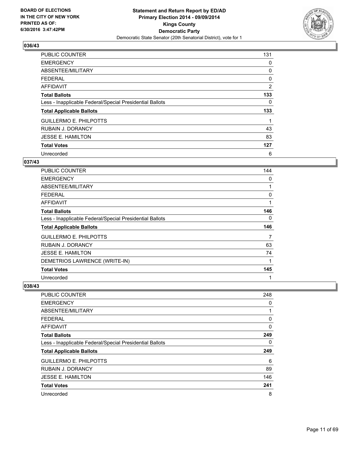

| <b>PUBLIC COUNTER</b>                                    | 131 |
|----------------------------------------------------------|-----|
| <b>EMERGENCY</b>                                         | 0   |
| ABSENTEE/MILITARY                                        | 0   |
| <b>FEDERAL</b>                                           | 0   |
| AFFIDAVIT                                                | 2   |
| <b>Total Ballots</b>                                     | 133 |
| Less - Inapplicable Federal/Special Presidential Ballots | 0   |
| <b>Total Applicable Ballots</b>                          | 133 |
| <b>GUILLERMO E. PHILPOTTS</b>                            | 1   |
| <b>RUBAIN J. DORANCY</b>                                 | 43  |
| <b>JESSE E. HAMILTON</b>                                 | 83  |
| <b>Total Votes</b>                                       | 127 |
| Unrecorded                                               | 6   |

## **037/43**

| PUBLIC COUNTER                                           | 144 |
|----------------------------------------------------------|-----|
| <b>EMERGENCY</b>                                         | 0   |
| ABSENTEE/MILITARY                                        | 1   |
| <b>FEDERAL</b>                                           | 0   |
| AFFIDAVIT                                                | 1   |
| <b>Total Ballots</b>                                     | 146 |
| Less - Inapplicable Federal/Special Presidential Ballots | 0   |
| <b>Total Applicable Ballots</b>                          | 146 |
| <b>GUILLERMO E. PHILPOTTS</b>                            | 7   |
| RUBAIN J. DORANCY                                        | 63  |
| <b>JESSE E. HAMILTON</b>                                 | 74  |
| DEMETRIOS LAWRENCE (WRITE-IN)                            | 1   |
| <b>Total Votes</b>                                       | 145 |
| Unrecorded                                               | 1   |

| PUBLIC COUNTER                                           | 248 |
|----------------------------------------------------------|-----|
| <b>EMERGENCY</b>                                         | 0   |
| ABSENTEE/MILITARY                                        | 1   |
| FEDERAL                                                  | 0   |
| AFFIDAVIT                                                | 0   |
| <b>Total Ballots</b>                                     | 249 |
| Less - Inapplicable Federal/Special Presidential Ballots | 0   |
| <b>Total Applicable Ballots</b>                          | 249 |
| <b>GUILLERMO E. PHILPOTTS</b>                            | 6   |
| <b>RUBAIN J. DORANCY</b>                                 | 89  |
| <b>JESSE E. HAMILTON</b>                                 | 146 |
| <b>Total Votes</b>                                       | 241 |
| Unrecorded                                               | 8   |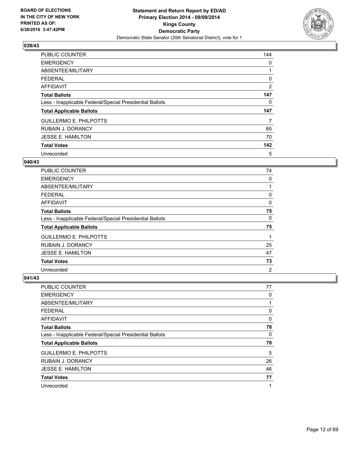

| <b>PUBLIC COUNTER</b>                                    | 144 |
|----------------------------------------------------------|-----|
| <b>EMERGENCY</b>                                         | 0   |
| ABSENTEE/MILITARY                                        |     |
| <b>FEDERAL</b>                                           | 0   |
| AFFIDAVIT                                                | 2   |
| <b>Total Ballots</b>                                     | 147 |
| Less - Inapplicable Federal/Special Presidential Ballots | 0   |
| <b>Total Applicable Ballots</b>                          | 147 |
| <b>GUILLERMO E. PHILPOTTS</b>                            | 7   |
| <b>RUBAIN J. DORANCY</b>                                 | 65  |
| <b>JESSE E. HAMILTON</b>                                 | 70  |
| <b>Total Votes</b>                                       | 142 |
| Unrecorded                                               | 5   |

## **040/43**

| <b>PUBLIC COUNTER</b>                                    | 74             |
|----------------------------------------------------------|----------------|
| <b>EMERGENCY</b>                                         | 0              |
| ABSENTEE/MILITARY                                        |                |
| <b>FEDERAL</b>                                           | 0              |
| AFFIDAVIT                                                | 0              |
| <b>Total Ballots</b>                                     | 75             |
| Less - Inapplicable Federal/Special Presidential Ballots | 0              |
| <b>Total Applicable Ballots</b>                          | 75             |
| <b>GUILLERMO E. PHILPOTTS</b>                            |                |
| <b>RUBAIN J. DORANCY</b>                                 | 25             |
| <b>JESSE E. HAMILTON</b>                                 | 47             |
| <b>Total Votes</b>                                       | 73             |
| Unrecorded                                               | $\overline{2}$ |

| <b>PUBLIC COUNTER</b>                                    | 77 |
|----------------------------------------------------------|----|
| <b>EMERGENCY</b>                                         | 0  |
| ABSENTEE/MILITARY                                        | 1  |
| <b>FEDERAL</b>                                           | 0  |
| <b>AFFIDAVIT</b>                                         | 0  |
| <b>Total Ballots</b>                                     | 78 |
| Less - Inapplicable Federal/Special Presidential Ballots | 0  |
| <b>Total Applicable Ballots</b>                          | 78 |
| <b>GUILLERMO E. PHILPOTTS</b>                            | 5  |
| <b>RUBAIN J. DORANCY</b>                                 | 26 |
| <b>JESSE E. HAMILTON</b>                                 | 46 |
| <b>Total Votes</b>                                       | 77 |
| Unrecorded                                               | 1  |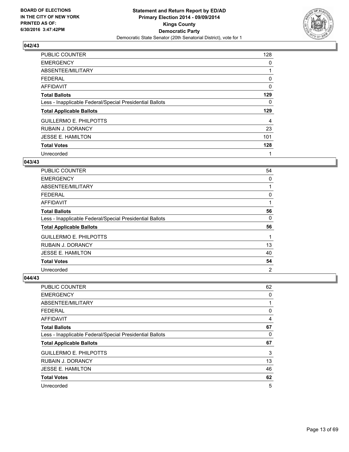

| <b>PUBLIC COUNTER</b>                                    | 128 |
|----------------------------------------------------------|-----|
| <b>EMERGENCY</b>                                         | 0   |
| ABSENTEE/MILITARY                                        |     |
| <b>FEDERAL</b>                                           | 0   |
| AFFIDAVIT                                                | 0   |
| <b>Total Ballots</b>                                     | 129 |
| Less - Inapplicable Federal/Special Presidential Ballots | 0   |
| <b>Total Applicable Ballots</b>                          | 129 |
| <b>GUILLERMO E. PHILPOTTS</b>                            | 4   |
| <b>RUBAIN J. DORANCY</b>                                 | 23  |
| <b>JESSE E. HAMILTON</b>                                 | 101 |
| <b>Total Votes</b>                                       | 128 |
| Unrecorded                                               |     |

## **043/43**

| <b>PUBLIC COUNTER</b>                                    | 54             |
|----------------------------------------------------------|----------------|
| <b>EMERGENCY</b>                                         | 0              |
| ABSENTEE/MILITARY                                        |                |
| <b>FEDERAL</b>                                           | 0              |
| AFFIDAVIT                                                |                |
| <b>Total Ballots</b>                                     | 56             |
| Less - Inapplicable Federal/Special Presidential Ballots | 0              |
| <b>Total Applicable Ballots</b>                          | 56             |
| <b>GUILLERMO E. PHILPOTTS</b>                            | 1              |
| <b>RUBAIN J. DORANCY</b>                                 | 13             |
| <b>JESSE E. HAMILTON</b>                                 | 40             |
| <b>Total Votes</b>                                       | 54             |
| Unrecorded                                               | $\overline{2}$ |

| <b>PUBLIC COUNTER</b>                                    | 62 |
|----------------------------------------------------------|----|
| <b>EMERGENCY</b>                                         | 0  |
| ABSENTEE/MILITARY                                        | 1  |
| <b>FEDERAL</b>                                           | 0  |
| AFFIDAVIT                                                | 4  |
| <b>Total Ballots</b>                                     | 67 |
| Less - Inapplicable Federal/Special Presidential Ballots | 0  |
| <b>Total Applicable Ballots</b>                          | 67 |
| <b>GUILLERMO E. PHILPOTTS</b>                            | 3  |
| <b>RUBAIN J. DORANCY</b>                                 | 13 |
| <b>JESSE E. HAMILTON</b>                                 | 46 |
| <b>Total Votes</b>                                       | 62 |
| Unrecorded                                               | 5  |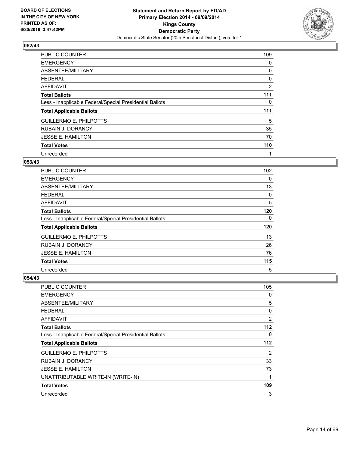

| <b>PUBLIC COUNTER</b>                                    | 109 |
|----------------------------------------------------------|-----|
| <b>EMERGENCY</b>                                         | 0   |
| ABSENTEE/MILITARY                                        | 0   |
| <b>FEDERAL</b>                                           | 0   |
| AFFIDAVIT                                                | 2   |
| <b>Total Ballots</b>                                     | 111 |
| Less - Inapplicable Federal/Special Presidential Ballots | 0   |
| <b>Total Applicable Ballots</b>                          | 111 |
| <b>GUILLERMO E. PHILPOTTS</b>                            | 5   |
| <b>RUBAIN J. DORANCY</b>                                 | 35  |
| <b>JESSE E. HAMILTON</b>                                 | 70  |
| <b>Total Votes</b>                                       | 110 |
| Unrecorded                                               | 1   |

## **053/43**

| <b>PUBLIC COUNTER</b>                                    | 102 |
|----------------------------------------------------------|-----|
| <b>EMERGENCY</b>                                         | 0   |
| ABSENTEE/MILITARY                                        | 13  |
| <b>FEDERAL</b>                                           | 0   |
| <b>AFFIDAVIT</b>                                         | 5   |
| <b>Total Ballots</b>                                     | 120 |
| Less - Inapplicable Federal/Special Presidential Ballots | 0   |
| <b>Total Applicable Ballots</b>                          | 120 |
| <b>GUILLERMO E. PHILPOTTS</b>                            | 13  |
| <b>RUBAIN J. DORANCY</b>                                 | 26  |
| <b>JESSE E. HAMILTON</b>                                 | 76  |
| <b>Total Votes</b>                                       | 115 |
| Unrecorded                                               | 5   |

| <b>PUBLIC COUNTER</b>                                    | 105            |
|----------------------------------------------------------|----------------|
| <b>EMERGENCY</b>                                         | 0              |
| ABSENTEE/MILITARY                                        | 5              |
| <b>FEDERAL</b>                                           | 0              |
| AFFIDAVIT                                                | $\overline{2}$ |
| <b>Total Ballots</b>                                     | 112            |
| Less - Inapplicable Federal/Special Presidential Ballots | 0              |
| <b>Total Applicable Ballots</b>                          | 112            |
| <b>GUILLERMO E. PHILPOTTS</b>                            | $\overline{2}$ |
| <b>RUBAIN J. DORANCY</b>                                 | 33             |
| <b>JESSE E. HAMILTON</b>                                 | 73             |
| UNATTRIBUTABLE WRITE-IN (WRITE-IN)                       | 1              |
| <b>Total Votes</b>                                       | 109            |
| Unrecorded                                               | 3              |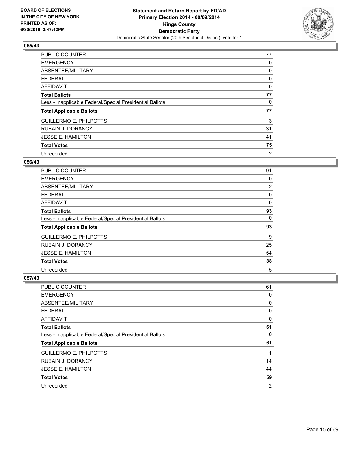

| <b>PUBLIC COUNTER</b>                                    | 77 |
|----------------------------------------------------------|----|
| <b>EMERGENCY</b>                                         | 0  |
| ABSENTEE/MILITARY                                        | 0  |
| <b>FEDERAL</b>                                           | 0  |
| AFFIDAVIT                                                | 0  |
| <b>Total Ballots</b>                                     | 77 |
| Less - Inapplicable Federal/Special Presidential Ballots | 0  |
| <b>Total Applicable Ballots</b>                          | 77 |
| <b>GUILLERMO E. PHILPOTTS</b>                            | 3  |
| <b>RUBAIN J. DORANCY</b>                                 | 31 |
| <b>JESSE E. HAMILTON</b>                                 | 41 |
| <b>Total Votes</b>                                       | 75 |
| Unrecorded                                               | 2  |

#### **056/43**

| PUBLIC COUNTER                                           | 91 |
|----------------------------------------------------------|----|
| <b>EMERGENCY</b>                                         | 0  |
| ABSENTEE/MILITARY                                        | 2  |
| <b>FEDERAL</b>                                           | 0  |
| AFFIDAVIT                                                | 0  |
| <b>Total Ballots</b>                                     | 93 |
| Less - Inapplicable Federal/Special Presidential Ballots | 0  |
| <b>Total Applicable Ballots</b>                          | 93 |
| <b>GUILLERMO E. PHILPOTTS</b>                            | 9  |
| <b>RUBAIN J. DORANCY</b>                                 | 25 |
| <b>JESSE E. HAMILTON</b>                                 | 54 |
| <b>Total Votes</b>                                       | 88 |
| Unrecorded                                               | 5  |

| <b>PUBLIC COUNTER</b>                                    | 61 |
|----------------------------------------------------------|----|
| <b>EMERGENCY</b>                                         | 0  |
| ABSENTEE/MILITARY                                        | 0  |
| <b>FEDERAL</b>                                           | 0  |
| <b>AFFIDAVIT</b>                                         | 0  |
| <b>Total Ballots</b>                                     | 61 |
| Less - Inapplicable Federal/Special Presidential Ballots | 0  |
| <b>Total Applicable Ballots</b>                          | 61 |
| <b>GUILLERMO E. PHILPOTTS</b>                            | 1  |
| <b>RUBAIN J. DORANCY</b>                                 | 14 |
| <b>JESSE E. HAMILTON</b>                                 | 44 |
| <b>Total Votes</b>                                       | 59 |
| Unrecorded                                               | 2  |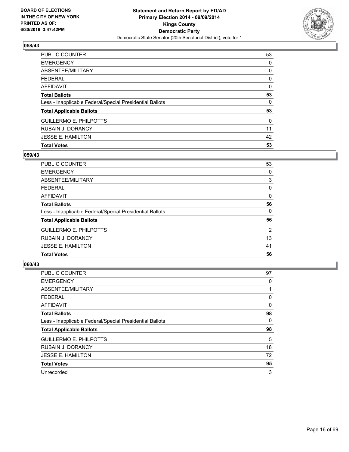

| <b>PUBLIC COUNTER</b>                                    | 53       |
|----------------------------------------------------------|----------|
| <b>EMERGENCY</b>                                         | 0        |
| ABSENTEE/MILITARY                                        | 0        |
| <b>FEDERAL</b>                                           | 0        |
| <b>AFFIDAVIT</b>                                         | 0        |
| <b>Total Ballots</b>                                     | 53       |
| Less - Inapplicable Federal/Special Presidential Ballots | 0        |
| <b>Total Applicable Ballots</b>                          | 53       |
| <b>GUILLERMO E. PHILPOTTS</b>                            | $\Omega$ |
| <b>RUBAIN J. DORANCY</b>                                 | 11       |
| <b>JESSE E. HAMILTON</b>                                 | 42       |
| <b>Total Votes</b>                                       | 53       |

## **059/43**

| <b>PUBLIC COUNTER</b>                                    | 53 |
|----------------------------------------------------------|----|
| <b>EMERGENCY</b>                                         | 0  |
| ABSENTEE/MILITARY                                        | 3  |
| <b>FEDERAL</b>                                           | 0  |
| AFFIDAVIT                                                | 0  |
| <b>Total Ballots</b>                                     | 56 |
| Less - Inapplicable Federal/Special Presidential Ballots | 0  |
| <b>Total Applicable Ballots</b>                          | 56 |
| <b>GUILLERMO E. PHILPOTTS</b>                            | 2  |
| <b>RUBAIN J. DORANCY</b>                                 | 13 |
| <b>JESSE E. HAMILTON</b>                                 | 41 |
| <b>Total Votes</b>                                       | 56 |
|                                                          |    |

| <b>PUBLIC COUNTER</b>                                    | 97 |
|----------------------------------------------------------|----|
| <b>EMERGENCY</b>                                         | 0  |
| ABSENTEE/MILITARY                                        |    |
| <b>FEDERAL</b>                                           | 0  |
| <b>AFFIDAVIT</b>                                         | 0  |
| <b>Total Ballots</b>                                     | 98 |
| Less - Inapplicable Federal/Special Presidential Ballots | 0  |
| <b>Total Applicable Ballots</b>                          | 98 |
| <b>GUILLERMO E. PHILPOTTS</b>                            | 5  |
| <b>RUBAIN J. DORANCY</b>                                 | 18 |
| <b>JESSE E. HAMILTON</b>                                 | 72 |
| <b>Total Votes</b>                                       | 95 |
| Unrecorded                                               | 3  |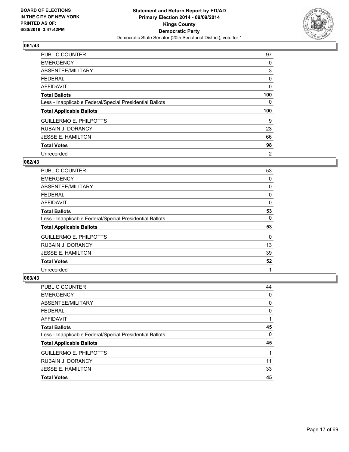

| <b>PUBLIC COUNTER</b>                                    | 97  |
|----------------------------------------------------------|-----|
| <b>EMERGENCY</b>                                         | 0   |
| ABSENTEE/MILITARY                                        | 3   |
| <b>FEDERAL</b>                                           | 0   |
| AFFIDAVIT                                                | 0   |
| <b>Total Ballots</b>                                     | 100 |
| Less - Inapplicable Federal/Special Presidential Ballots | 0   |
| <b>Total Applicable Ballots</b>                          | 100 |
| <b>GUILLERMO E. PHILPOTTS</b>                            | 9   |
| <b>RUBAIN J. DORANCY</b>                                 | 23  |
| <b>JESSE E. HAMILTON</b>                                 | 66  |
| <b>Total Votes</b>                                       | 98  |
| Unrecorded                                               | 2   |

#### **062/43**

| <b>PUBLIC COUNTER</b>                                    | 53 |
|----------------------------------------------------------|----|
| <b>EMERGENCY</b>                                         | 0  |
| ABSENTEE/MILITARY                                        | 0  |
| <b>FEDERAL</b>                                           | 0  |
| <b>AFFIDAVIT</b>                                         | 0  |
| <b>Total Ballots</b>                                     | 53 |
| Less - Inapplicable Federal/Special Presidential Ballots | 0  |
| <b>Total Applicable Ballots</b>                          | 53 |
| <b>GUILLERMO E. PHILPOTTS</b>                            | 0  |
| <b>RUBAIN J. DORANCY</b>                                 | 13 |
| <b>JESSE E. HAMILTON</b>                                 | 39 |
| <b>Total Votes</b>                                       | 52 |
| Unrecorded                                               | 1  |

| <b>PUBLIC COUNTER</b>                                    | 44 |
|----------------------------------------------------------|----|
| <b>EMERGENCY</b>                                         | 0  |
| ABSENTEE/MILITARY                                        | 0  |
| <b>FEDERAL</b>                                           | 0  |
| <b>AFFIDAVIT</b>                                         |    |
| <b>Total Ballots</b>                                     | 45 |
| Less - Inapplicable Federal/Special Presidential Ballots | 0  |
| <b>Total Applicable Ballots</b>                          | 45 |
| <b>GUILLERMO E. PHILPOTTS</b>                            | 1  |
| <b>RUBAIN J. DORANCY</b>                                 | 11 |
| <b>JESSE E. HAMILTON</b>                                 | 33 |
| <b>Total Votes</b>                                       | 45 |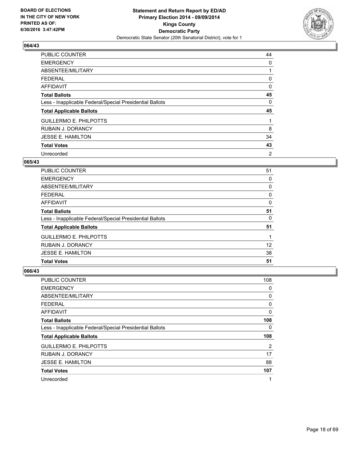

| <b>PUBLIC COUNTER</b>                                    | 44 |
|----------------------------------------------------------|----|
| <b>EMERGENCY</b>                                         | 0  |
| ABSENTEE/MILITARY                                        |    |
| <b>FEDERAL</b>                                           | 0  |
| AFFIDAVIT                                                | 0  |
| <b>Total Ballots</b>                                     | 45 |
| Less - Inapplicable Federal/Special Presidential Ballots | 0  |
| <b>Total Applicable Ballots</b>                          | 45 |
| <b>GUILLERMO E. PHILPOTTS</b>                            |    |
| <b>RUBAIN J. DORANCY</b>                                 | 8  |
| <b>JESSE E. HAMILTON</b>                                 | 34 |
| <b>Total Votes</b>                                       | 43 |
| Unrecorded                                               | 2  |

#### **065/43**

| <b>PUBLIC COUNTER</b>                                    | 51 |
|----------------------------------------------------------|----|
| <b>EMERGENCY</b>                                         | 0  |
| ABSENTEE/MILITARY                                        | 0  |
| <b>FEDERAL</b>                                           | 0  |
| AFFIDAVIT                                                | 0  |
| <b>Total Ballots</b>                                     | 51 |
| Less - Inapplicable Federal/Special Presidential Ballots | 0  |
| <b>Total Applicable Ballots</b>                          | 51 |
| <b>GUILLERMO E. PHILPOTTS</b>                            |    |
| <b>RUBAIN J. DORANCY</b>                                 | 12 |
| <b>JESSE E. HAMILTON</b>                                 | 38 |
| <b>Total Votes</b>                                       | 51 |

| PUBLIC COUNTER                                           | 108            |
|----------------------------------------------------------|----------------|
| <b>EMERGENCY</b>                                         | 0              |
| ABSENTEE/MILITARY                                        | 0              |
| <b>FEDERAL</b>                                           | 0              |
| AFFIDAVIT                                                | 0              |
| <b>Total Ballots</b>                                     | 108            |
| Less - Inapplicable Federal/Special Presidential Ballots | 0              |
| <b>Total Applicable Ballots</b>                          | 108            |
| <b>GUILLERMO E. PHILPOTTS</b>                            | $\overline{2}$ |
| <b>RUBAIN J. DORANCY</b>                                 | 17             |
| <b>JESSE E. HAMILTON</b>                                 | 88             |
| <b>Total Votes</b>                                       | 107            |
| Unrecorded                                               | 1              |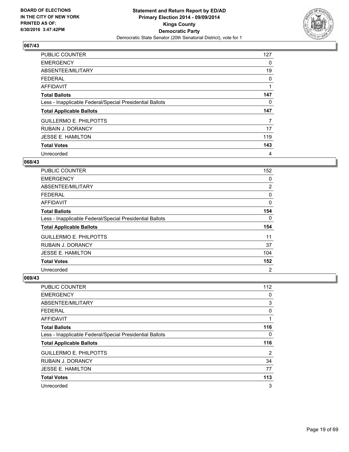

| <b>PUBLIC COUNTER</b>                                    | 127 |
|----------------------------------------------------------|-----|
| <b>EMERGENCY</b>                                         | 0   |
| ABSENTEE/MILITARY                                        | 19  |
| <b>FEDERAL</b>                                           | 0   |
| AFFIDAVIT                                                |     |
| <b>Total Ballots</b>                                     | 147 |
| Less - Inapplicable Federal/Special Presidential Ballots | 0   |
| <b>Total Applicable Ballots</b>                          | 147 |
| <b>GUILLERMO E. PHILPOTTS</b>                            | 7   |
| <b>RUBAIN J. DORANCY</b>                                 | 17  |
| <b>JESSE E. HAMILTON</b>                                 | 119 |
| <b>Total Votes</b>                                       | 143 |
| Unrecorded                                               | 4   |

#### **068/43**

| <b>PUBLIC COUNTER</b>                                    | 152            |
|----------------------------------------------------------|----------------|
| <b>EMERGENCY</b>                                         | 0              |
| ABSENTEE/MILITARY                                        | 2              |
| <b>FEDERAL</b>                                           | 0              |
| <b>AFFIDAVIT</b>                                         | 0              |
| <b>Total Ballots</b>                                     | 154            |
| Less - Inapplicable Federal/Special Presidential Ballots | 0              |
| <b>Total Applicable Ballots</b>                          | 154            |
| <b>GUILLERMO E. PHILPOTTS</b>                            | 11             |
| <b>RUBAIN J. DORANCY</b>                                 | 37             |
| <b>JESSE E. HAMILTON</b>                                 | 104            |
| <b>Total Votes</b>                                       | 152            |
| Unrecorded                                               | $\overline{2}$ |

| PUBLIC COUNTER                                           | 112 |
|----------------------------------------------------------|-----|
| <b>EMERGENCY</b>                                         | 0   |
| ABSENTEE/MILITARY                                        | 3   |
| <b>FEDERAL</b>                                           | 0   |
| AFFIDAVIT                                                | 1   |
| <b>Total Ballots</b>                                     | 116 |
| Less - Inapplicable Federal/Special Presidential Ballots | 0   |
| <b>Total Applicable Ballots</b>                          | 116 |
| <b>GUILLERMO E. PHILPOTTS</b>                            | 2   |
| <b>RUBAIN J. DORANCY</b>                                 | 34  |
| <b>JESSE E. HAMILTON</b>                                 | 77  |
| <b>Total Votes</b>                                       | 113 |
| Unrecorded                                               | 3   |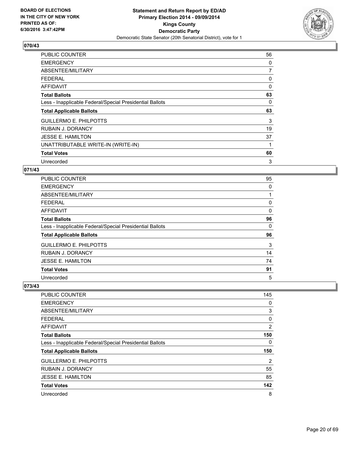

| <b>PUBLIC COUNTER</b>                                    | 56 |
|----------------------------------------------------------|----|
| <b>EMERGENCY</b>                                         | 0  |
| ABSENTEE/MILITARY                                        | 7  |
| <b>FEDERAL</b>                                           | 0  |
| <b>AFFIDAVIT</b>                                         | 0  |
| <b>Total Ballots</b>                                     | 63 |
| Less - Inapplicable Federal/Special Presidential Ballots | 0  |
| <b>Total Applicable Ballots</b>                          | 63 |
| <b>GUILLERMO E. PHILPOTTS</b>                            | 3  |
| <b>RUBAIN J. DORANCY</b>                                 | 19 |
| <b>JESSE E. HAMILTON</b>                                 | 37 |
| UNATTRIBUTABLE WRITE-IN (WRITE-IN)                       | 1  |
| <b>Total Votes</b>                                       | 60 |
| Unrecorded                                               | 3  |

## **071/43**

| <b>PUBLIC COUNTER</b>                                    | 95 |
|----------------------------------------------------------|----|
| <b>EMERGENCY</b>                                         | 0  |
| ABSENTEE/MILITARY                                        | 1  |
| <b>FEDERAL</b>                                           | 0  |
| AFFIDAVIT                                                | 0  |
| <b>Total Ballots</b>                                     | 96 |
| Less - Inapplicable Federal/Special Presidential Ballots | 0  |
| <b>Total Applicable Ballots</b>                          | 96 |
| <b>GUILLERMO E. PHILPOTTS</b>                            | 3  |
| <b>RUBAIN J. DORANCY</b>                                 | 14 |
| <b>JESSE E. HAMILTON</b>                                 | 74 |
| <b>Total Votes</b>                                       | 91 |
| Unrecorded                                               | 5  |

| <b>PUBLIC COUNTER</b>                                    | 145 |
|----------------------------------------------------------|-----|
| <b>EMERGENCY</b>                                         | 0   |
| ABSENTEE/MILITARY                                        | 3   |
| <b>FEDERAL</b>                                           | 0   |
| AFFIDAVIT                                                | 2   |
| <b>Total Ballots</b>                                     | 150 |
| Less - Inapplicable Federal/Special Presidential Ballots | 0   |
| <b>Total Applicable Ballots</b>                          | 150 |
| <b>GUILLERMO E. PHILPOTTS</b>                            | 2   |
| <b>RUBAIN J. DORANCY</b>                                 | 55  |
| <b>JESSE E. HAMILTON</b>                                 | 85  |
| <b>Total Votes</b>                                       | 142 |
| Unrecorded                                               | 8   |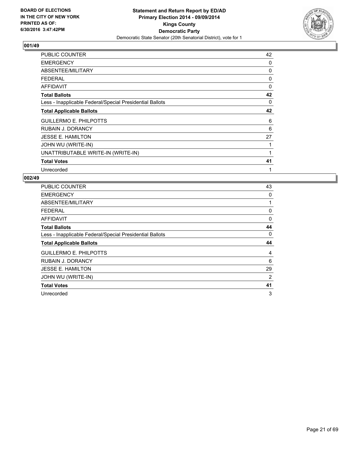

| <b>PUBLIC COUNTER</b>                                    | 42       |
|----------------------------------------------------------|----------|
| <b>EMERGENCY</b>                                         | 0        |
| ABSENTEE/MILITARY                                        | 0        |
| <b>FEDERAL</b>                                           | 0        |
| <b>AFFIDAVIT</b>                                         | $\Omega$ |
| <b>Total Ballots</b>                                     | 42       |
| Less - Inapplicable Federal/Special Presidential Ballots | 0        |
| <b>Total Applicable Ballots</b>                          | 42       |
| <b>GUILLERMO E. PHILPOTTS</b>                            | 6        |
| <b>RUBAIN J. DORANCY</b>                                 | 6        |
| <b>JESSE E. HAMILTON</b>                                 | 27       |
| JOHN WU (WRITE-IN)                                       |          |
| UNATTRIBUTABLE WRITE-IN (WRITE-IN)                       |          |
| <b>Total Votes</b>                                       | 41       |
| Unrecorded                                               | 1        |

| <b>PUBLIC COUNTER</b>                                    | 43          |
|----------------------------------------------------------|-------------|
| <b>EMERGENCY</b>                                         | 0           |
| ABSENTEE/MILITARY                                        | $\mathbf 1$ |
| <b>FEDERAL</b>                                           | 0           |
| <b>AFFIDAVIT</b>                                         | 0           |
| <b>Total Ballots</b>                                     | 44          |
| Less - Inapplicable Federal/Special Presidential Ballots | 0           |
|                                                          |             |
| <b>Total Applicable Ballots</b>                          | 44          |
| <b>GUILLERMO E. PHILPOTTS</b>                            | 4           |
| <b>RUBAIN J. DORANCY</b>                                 | 6           |
| <b>JESSE E. HAMILTON</b>                                 | 29          |
| JOHN WU (WRITE-IN)                                       | 2           |
| <b>Total Votes</b>                                       | 41          |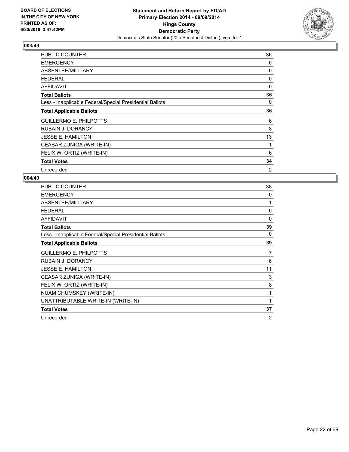

| PUBLIC COUNTER                                           | 36 |
|----------------------------------------------------------|----|
| <b>EMERGENCY</b>                                         | 0  |
| ABSENTEE/MILITARY                                        | 0  |
| <b>FEDERAL</b>                                           | 0  |
| AFFIDAVIT                                                | 0  |
| <b>Total Ballots</b>                                     | 36 |
| Less - Inapplicable Federal/Special Presidential Ballots | 0  |
| <b>Total Applicable Ballots</b>                          | 36 |
| <b>GUILLERMO E. PHILPOTTS</b>                            | 6  |
| <b>RUBAIN J. DORANCY</b>                                 | 8  |
| <b>JESSE E. HAMILTON</b>                                 | 13 |
| CEASAR ZUNIGA (WRITE-IN)                                 | 1  |
| FELIX W. ORTIZ (WRITE-IN)                                | 6  |
| <b>Total Votes</b>                                       | 34 |
| Unrecorded                                               | 2  |

| <b>PUBLIC COUNTER</b>                                    | 38             |
|----------------------------------------------------------|----------------|
| <b>EMERGENCY</b>                                         | 0              |
| ABSENTEE/MILITARY                                        | 1              |
| <b>FEDERAL</b>                                           | 0              |
| <b>AFFIDAVIT</b>                                         | $\mathbf{0}$   |
| <b>Total Ballots</b>                                     | 39             |
| Less - Inapplicable Federal/Special Presidential Ballots | 0              |
| <b>Total Applicable Ballots</b>                          | 39             |
| <b>GUILLERMO E. PHILPOTTS</b>                            | 7              |
| <b>RUBAIN J. DORANCY</b>                                 | 6              |
| <b>JESSE E. HAMILTON</b>                                 | 11             |
| CEASAR ZUNIGA (WRITE-IN)                                 | 3              |
| FELIX W. ORTIZ (WRITE-IN)                                | 8              |
| NUAM CHUMSKEY (WRITE-IN)                                 | 1              |
| UNATTRIBUTABLE WRITE-IN (WRITE-IN)                       | 1              |
| <b>Total Votes</b>                                       | 37             |
| Unrecorded                                               | $\overline{2}$ |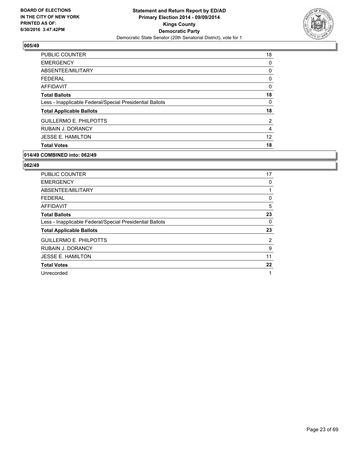

| <b>PUBLIC COUNTER</b>                                    | 18             |
|----------------------------------------------------------|----------------|
| <b>EMERGENCY</b>                                         | 0              |
| ABSENTEE/MILITARY                                        | 0              |
| <b>FEDERAL</b>                                           | 0              |
| AFFIDAVIT                                                | 0              |
| <b>Total Ballots</b>                                     | 18             |
| Less - Inapplicable Federal/Special Presidential Ballots | 0              |
| <b>Total Applicable Ballots</b>                          | 18             |
| <b>GUILLERMO E. PHILPOTTS</b>                            | $\overline{2}$ |
| <b>RUBAIN J. DORANCY</b>                                 | 4              |
| <b>JESSE E. HAMILTON</b>                                 | 12             |
| <b>Total Votes</b>                                       | 18             |

#### **014/49 COMBINED into: 062/49**

| <b>PUBLIC COUNTER</b>                                    | 17 |
|----------------------------------------------------------|----|
| <b>EMERGENCY</b>                                         | 0  |
| ABSENTEE/MILITARY                                        | 1  |
| <b>FEDERAL</b>                                           | 0  |
| <b>AFFIDAVIT</b>                                         | 5  |
| <b>Total Ballots</b>                                     | 23 |
| Less - Inapplicable Federal/Special Presidential Ballots | 0  |
| <b>Total Applicable Ballots</b>                          | 23 |
| <b>GUILLERMO E. PHILPOTTS</b>                            | 2  |
| <b>RUBAIN J. DORANCY</b>                                 | 9  |
| <b>JESSE E. HAMILTON</b>                                 | 11 |
| <b>Total Votes</b>                                       | 22 |
| Unrecorded                                               | 1  |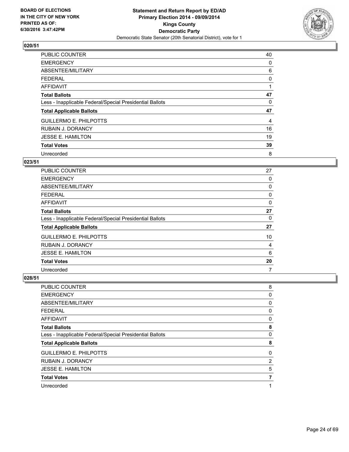

| <b>PUBLIC COUNTER</b>                                    | 40 |
|----------------------------------------------------------|----|
| <b>EMERGENCY</b>                                         | 0  |
| ABSENTEE/MILITARY                                        | 6  |
| FEDERAL                                                  | 0  |
| AFFIDAVIT                                                |    |
| <b>Total Ballots</b>                                     | 47 |
| Less - Inapplicable Federal/Special Presidential Ballots | 0  |
| <b>Total Applicable Ballots</b>                          | 47 |
| <b>GUILLERMO E. PHILPOTTS</b>                            | 4  |
| <b>RUBAIN J. DORANCY</b>                                 | 16 |
| <b>JESSE E. HAMILTON</b>                                 | 19 |
| <b>Total Votes</b>                                       | 39 |
| Unrecorded                                               | 8  |

# **023/51**

| <b>PUBLIC COUNTER</b>                                    | 27 |
|----------------------------------------------------------|----|
| <b>EMERGENCY</b>                                         | 0  |
| ABSENTEE/MILITARY                                        | 0  |
| <b>FEDERAL</b>                                           | 0  |
| AFFIDAVIT                                                | 0  |
| <b>Total Ballots</b>                                     | 27 |
| Less - Inapplicable Federal/Special Presidential Ballots | 0  |
| <b>Total Applicable Ballots</b>                          | 27 |
| <b>GUILLERMO E. PHILPOTTS</b>                            | 10 |
| <b>RUBAIN J. DORANCY</b>                                 | 4  |
| <b>JESSE E. HAMILTON</b>                                 | 6  |
| <b>Total Votes</b>                                       | 20 |
| Unrecorded                                               | 7  |

| <b>PUBLIC COUNTER</b>                                    | 8 |
|----------------------------------------------------------|---|
| <b>EMERGENCY</b>                                         | 0 |
| ABSENTEE/MILITARY                                        | 0 |
| <b>FEDERAL</b>                                           | 0 |
| <b>AFFIDAVIT</b>                                         | 0 |
| <b>Total Ballots</b>                                     | 8 |
| Less - Inapplicable Federal/Special Presidential Ballots | 0 |
| <b>Total Applicable Ballots</b>                          | 8 |
| <b>GUILLERMO E. PHILPOTTS</b>                            | 0 |
| <b>RUBAIN J. DORANCY</b>                                 | 2 |
| <b>JESSE E. HAMILTON</b>                                 | 5 |
| <b>Total Votes</b>                                       | 7 |
| Unrecorded                                               | 1 |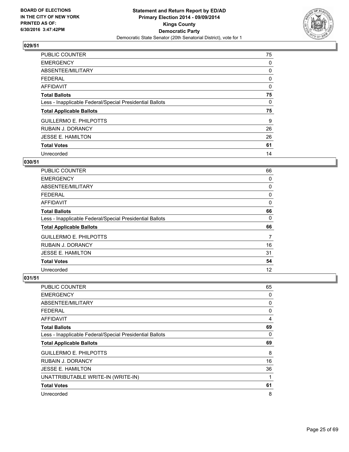

| PUBLIC COUNTER                                           | 75 |
|----------------------------------------------------------|----|
| <b>EMERGENCY</b>                                         | 0  |
| ABSENTEE/MILITARY                                        | 0  |
| <b>FEDERAL</b>                                           | 0  |
| <b>AFFIDAVIT</b>                                         | 0  |
| <b>Total Ballots</b>                                     | 75 |
| Less - Inapplicable Federal/Special Presidential Ballots | 0  |
| <b>Total Applicable Ballots</b>                          | 75 |
| <b>GUILLERMO E. PHILPOTTS</b>                            | 9  |
| <b>RUBAIN J. DORANCY</b>                                 | 26 |
| JESSE E. HAMILTON                                        | 26 |
| <b>Total Votes</b>                                       | 61 |
| Unrecorded                                               | 14 |

#### **030/51**

| PUBLIC COUNTER                                           | 66 |
|----------------------------------------------------------|----|
| <b>EMERGENCY</b>                                         | 0  |
| ABSENTEE/MILITARY                                        | 0  |
| <b>FEDERAL</b>                                           | 0  |
| AFFIDAVIT                                                | 0  |
| <b>Total Ballots</b>                                     | 66 |
| Less - Inapplicable Federal/Special Presidential Ballots | 0  |
| <b>Total Applicable Ballots</b>                          | 66 |
| <b>GUILLERMO E. PHILPOTTS</b>                            | 7  |
| <b>RUBAIN J. DORANCY</b>                                 | 16 |
| <b>JESSE E. HAMILTON</b>                                 | 31 |
| <b>Total Votes</b>                                       | 54 |
| Unrecorded                                               | 12 |

| PUBLIC COUNTER                                           | 65 |
|----------------------------------------------------------|----|
| <b>EMERGENCY</b>                                         | 0  |
| ABSENTEE/MILITARY                                        | 0  |
| <b>FEDERAL</b>                                           | 0  |
| AFFIDAVIT                                                | 4  |
| <b>Total Ballots</b>                                     | 69 |
| Less - Inapplicable Federal/Special Presidential Ballots | 0  |
| <b>Total Applicable Ballots</b>                          | 69 |
| <b>GUILLERMO E. PHILPOTTS</b>                            | 8  |
| <b>RUBAIN J. DORANCY</b>                                 | 16 |
| <b>JESSE E. HAMILTON</b>                                 | 36 |
| UNATTRIBUTABLE WRITE-IN (WRITE-IN)                       | 1  |
| <b>Total Votes</b>                                       | 61 |
| Unrecorded                                               | 8  |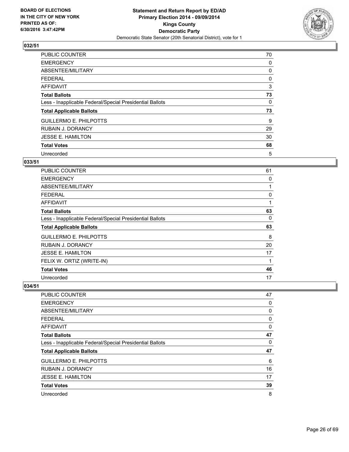

| <b>PUBLIC COUNTER</b>                                    | 70       |
|----------------------------------------------------------|----------|
| <b>EMERGENCY</b>                                         | 0        |
| ABSENTEE/MILITARY                                        | 0        |
| FEDERAL                                                  | 0        |
| AFFIDAVIT                                                | 3        |
| <b>Total Ballots</b>                                     | 73       |
| Less - Inapplicable Federal/Special Presidential Ballots | $\Omega$ |
| <b>Total Applicable Ballots</b>                          | 73       |
| <b>GUILLERMO E. PHILPOTTS</b>                            | 9        |
| <b>RUBAIN J. DORANCY</b>                                 | 29       |
| <b>JESSE E. HAMILTON</b>                                 | 30       |
| <b>Total Votes</b>                                       | 68       |
| Unrecorded                                               | 5        |

# **033/51**

| <b>PUBLIC COUNTER</b>                                    | 61 |
|----------------------------------------------------------|----|
| <b>EMERGENCY</b>                                         | 0  |
| ABSENTEE/MILITARY                                        | 1  |
| <b>FEDERAL</b>                                           | 0  |
| <b>AFFIDAVIT</b>                                         | 1  |
| <b>Total Ballots</b>                                     | 63 |
| Less - Inapplicable Federal/Special Presidential Ballots | 0  |
| <b>Total Applicable Ballots</b>                          | 63 |
| <b>GUILLERMO E. PHILPOTTS</b>                            | 8  |
| RUBAIN J. DORANCY                                        | 20 |
| <b>JESSE E. HAMILTON</b>                                 | 17 |
| FELIX W. ORTIZ (WRITE-IN)                                | 1  |
| <b>Total Votes</b>                                       | 46 |
| Unrecorded                                               | 17 |

| PUBLIC COUNTER                                           | 47 |
|----------------------------------------------------------|----|
| <b>EMERGENCY</b>                                         | 0  |
| ABSENTEE/MILITARY                                        | 0  |
| <b>FEDERAL</b>                                           | 0  |
| AFFIDAVIT                                                | 0  |
| <b>Total Ballots</b>                                     | 47 |
| Less - Inapplicable Federal/Special Presidential Ballots | 0  |
| <b>Total Applicable Ballots</b>                          | 47 |
| <b>GUILLERMO E. PHILPOTTS</b>                            | 6  |
| <b>RUBAIN J. DORANCY</b>                                 | 16 |
| JESSE E. HAMILTON                                        | 17 |
| <b>Total Votes</b>                                       | 39 |
| Unrecorded                                               | 8  |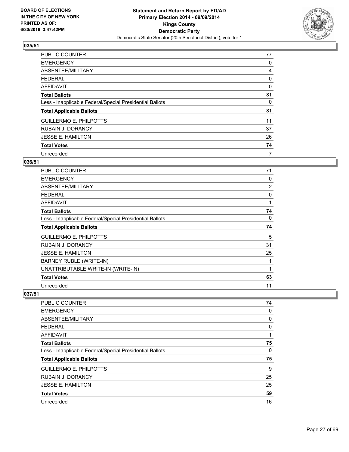

| <b>PUBLIC COUNTER</b>                                    | 77 |
|----------------------------------------------------------|----|
| <b>EMERGENCY</b>                                         | 0  |
| ABSENTEE/MILITARY                                        | 4  |
| <b>FEDERAL</b>                                           | 0  |
| AFFIDAVIT                                                | 0  |
| <b>Total Ballots</b>                                     | 81 |
| Less - Inapplicable Federal/Special Presidential Ballots | 0  |
| <b>Total Applicable Ballots</b>                          | 81 |
| <b>GUILLERMO E. PHILPOTTS</b>                            | 11 |
| <b>RUBAIN J. DORANCY</b>                                 | 37 |
| <b>JESSE E. HAMILTON</b>                                 | 26 |
| <b>Total Votes</b>                                       | 74 |
| Unrecorded                                               | 7  |

## **036/51**

| PUBLIC COUNTER                                           | 71 |
|----------------------------------------------------------|----|
| <b>EMERGENCY</b>                                         | 0  |
| ABSENTEE/MILITARY                                        | 2  |
| <b>FEDERAL</b>                                           | 0  |
| <b>AFFIDAVIT</b>                                         | 1  |
| <b>Total Ballots</b>                                     | 74 |
| Less - Inapplicable Federal/Special Presidential Ballots | 0  |
| <b>Total Applicable Ballots</b>                          | 74 |
| <b>GUILLERMO E. PHILPOTTS</b>                            | 5  |
| <b>RUBAIN J. DORANCY</b>                                 | 31 |
| <b>JESSE E. HAMILTON</b>                                 | 25 |
| BARNEY RUBLE (WRITE-IN)                                  | 1  |
| UNATTRIBUTABLE WRITE-IN (WRITE-IN)                       | 1  |
| <b>Total Votes</b>                                       | 63 |
| Unrecorded                                               | 11 |

| <b>PUBLIC COUNTER</b>                                    | 74 |
|----------------------------------------------------------|----|
| <b>EMERGENCY</b>                                         | 0  |
| ABSENTEE/MILITARY                                        | 0  |
| <b>FEDERAL</b>                                           | 0  |
| AFFIDAVIT                                                | 1  |
| <b>Total Ballots</b>                                     | 75 |
| Less - Inapplicable Federal/Special Presidential Ballots | 0  |
| <b>Total Applicable Ballots</b>                          | 75 |
| <b>GUILLERMO E. PHILPOTTS</b>                            | 9  |
| <b>RUBAIN J. DORANCY</b>                                 | 25 |
| <b>JESSE E. HAMILTON</b>                                 | 25 |
| <b>Total Votes</b>                                       | 59 |
| Unrecorded                                               | 16 |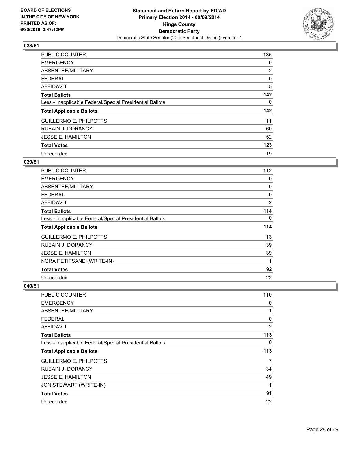

| PUBLIC COUNTER                                           | 135            |
|----------------------------------------------------------|----------------|
| <b>EMERGENCY</b>                                         | 0              |
| ABSENTEE/MILITARY                                        | $\overline{2}$ |
| <b>FEDERAL</b>                                           | 0              |
| AFFIDAVIT                                                | 5              |
| <b>Total Ballots</b>                                     | 142            |
| Less - Inapplicable Federal/Special Presidential Ballots | 0              |
| <b>Total Applicable Ballots</b>                          | 142            |
| <b>GUILLERMO E. PHILPOTTS</b>                            | 11             |
| <b>RUBAIN J. DORANCY</b>                                 | 60             |
| <b>JESSE E. HAMILTON</b>                                 | 52             |
| <b>Total Votes</b>                                       | 123            |
| Unrecorded                                               | 19             |

## **039/51**

| PUBLIC COUNTER                                           | 112            |
|----------------------------------------------------------|----------------|
| <b>EMERGENCY</b>                                         | 0              |
| ABSENTEE/MILITARY                                        | 0              |
| FEDERAL                                                  | 0              |
| AFFIDAVIT                                                | $\overline{2}$ |
| <b>Total Ballots</b>                                     | 114            |
| Less - Inapplicable Federal/Special Presidential Ballots | 0              |
| <b>Total Applicable Ballots</b>                          | 114            |
| <b>GUILLERMO E. PHILPOTTS</b>                            | 13             |
| RUBAIN J. DORANCY                                        | 39             |
| <b>JESSE E. HAMILTON</b>                                 | 39             |
| NORA PETITSAND (WRITE-IN)                                | $\mathbf 1$    |
| <b>Total Votes</b>                                       | 92             |
| Unrecorded                                               | 22             |

| PUBLIC COUNTER                                           | 110 |
|----------------------------------------------------------|-----|
| <b>EMERGENCY</b>                                         | 0   |
| ABSENTEE/MILITARY                                        | 1   |
| <b>FEDERAL</b>                                           | 0   |
| <b>AFFIDAVIT</b>                                         | 2   |
| <b>Total Ballots</b>                                     | 113 |
| Less - Inapplicable Federal/Special Presidential Ballots | 0   |
| <b>Total Applicable Ballots</b>                          | 113 |
| <b>GUILLERMO E. PHILPOTTS</b>                            | 7   |
| <b>RUBAIN J. DORANCY</b>                                 | 34  |
| <b>JESSE E. HAMILTON</b>                                 | 49  |
| JON STEWART (WRITE-IN)                                   | 1   |
| <b>Total Votes</b>                                       | 91  |
| Unrecorded                                               | 22  |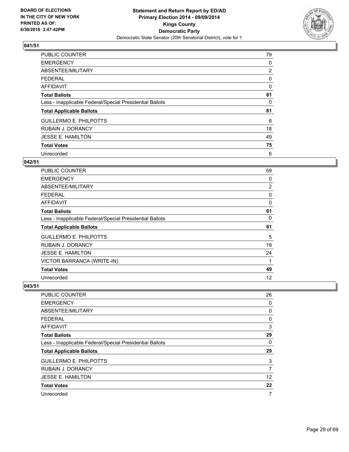

| <b>PUBLIC COUNTER</b>                                    | 79             |
|----------------------------------------------------------|----------------|
| <b>EMERGENCY</b>                                         | 0              |
| ABSENTEE/MILITARY                                        | $\overline{2}$ |
| <b>FEDERAL</b>                                           | 0              |
| <b>AFFIDAVIT</b>                                         | 0              |
| <b>Total Ballots</b>                                     | 81             |
| Less - Inapplicable Federal/Special Presidential Ballots | 0              |
| <b>Total Applicable Ballots</b>                          | 81             |
| <b>GUILLERMO E. PHILPOTTS</b>                            | 8              |
| <b>RUBAIN J. DORANCY</b>                                 | 18             |
| <b>JESSE E. HAMILTON</b>                                 | 49             |
| <b>Total Votes</b>                                       | 75             |
| Unrecorded                                               | 6              |

## **042/51**

| PUBLIC COUNTER                                           | 59           |
|----------------------------------------------------------|--------------|
| <b>EMERGENCY</b>                                         | 0            |
| ABSENTEE/MILITARY                                        | 2            |
| <b>FEDERAL</b>                                           | 0            |
| AFFIDAVIT                                                | $\mathbf{0}$ |
| <b>Total Ballots</b>                                     | 61           |
| Less - Inapplicable Federal/Special Presidential Ballots | 0            |
|                                                          |              |
| <b>Total Applicable Ballots</b>                          | 61           |
| <b>GUILLERMO E. PHILPOTTS</b>                            | 5            |
| <b>RUBAIN J. DORANCY</b>                                 | 19           |
| <b>JESSE E. HAMILTON</b>                                 | 24           |
| VICTOR BARRANCA (WRITE-IN)                               | 1            |
| <b>Total Votes</b>                                       | 49           |

| PUBLIC COUNTER                                           | 26 |
|----------------------------------------------------------|----|
| <b>EMERGENCY</b>                                         | 0  |
| ABSENTEE/MILITARY                                        | 0  |
| <b>FEDERAL</b>                                           | 0  |
| AFFIDAVIT                                                | 3  |
| <b>Total Ballots</b>                                     | 29 |
| Less - Inapplicable Federal/Special Presidential Ballots | 0  |
| <b>Total Applicable Ballots</b>                          | 29 |
| <b>GUILLERMO E. PHILPOTTS</b>                            | 3  |
| <b>RUBAIN J. DORANCY</b>                                 | 7  |
| <b>JESSE E. HAMILTON</b>                                 | 12 |
| <b>Total Votes</b>                                       | 22 |
| Unrecorded                                               | 7  |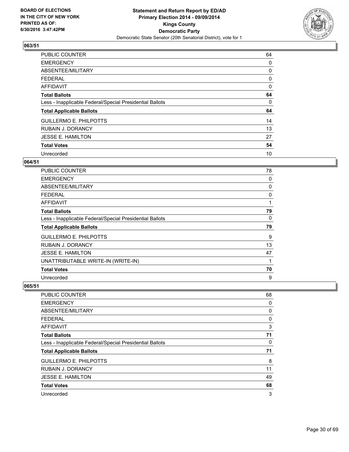

| <b>PUBLIC COUNTER</b>                                    | 64       |
|----------------------------------------------------------|----------|
| <b>EMERGENCY</b>                                         | 0        |
| ABSENTEE/MILITARY                                        | 0        |
| <b>FEDERAL</b>                                           | 0        |
| <b>AFFIDAVIT</b>                                         | $\Omega$ |
| <b>Total Ballots</b>                                     | 64       |
| Less - Inapplicable Federal/Special Presidential Ballots | 0        |
| <b>Total Applicable Ballots</b>                          | 64       |
| <b>GUILLERMO E. PHILPOTTS</b>                            | 14       |
| <b>RUBAIN J. DORANCY</b>                                 | 13       |
| <b>JESSE E. HAMILTON</b>                                 | 27       |
| <b>Total Votes</b>                                       | 54       |
| Unrecorded                                               | 10       |

## **064/51**

| PUBLIC COUNTER                                           | 78 |
|----------------------------------------------------------|----|
| <b>EMERGENCY</b>                                         | 0  |
| ABSENTEE/MILITARY                                        | 0  |
| <b>FEDERAL</b>                                           | 0  |
| AFFIDAVIT                                                | 1  |
| <b>Total Ballots</b>                                     | 79 |
| Less - Inapplicable Federal/Special Presidential Ballots | 0  |
| <b>Total Applicable Ballots</b>                          | 79 |
| <b>GUILLERMO E. PHILPOTTS</b>                            | 9  |
| <b>RUBAIN J. DORANCY</b>                                 | 13 |
| <b>JESSE E. HAMILTON</b>                                 | 47 |
| UNATTRIBUTABLE WRITE-IN (WRITE-IN)                       | 1  |
|                                                          | 70 |
| <b>Total Votes</b>                                       |    |

| PUBLIC COUNTER                                           | 68 |
|----------------------------------------------------------|----|
| <b>EMERGENCY</b>                                         | 0  |
| ABSENTEE/MILITARY                                        | 0  |
| FEDERAL                                                  | 0  |
| AFFIDAVIT                                                | 3  |
| <b>Total Ballots</b>                                     | 71 |
| Less - Inapplicable Federal/Special Presidential Ballots | 0  |
| <b>Total Applicable Ballots</b>                          | 71 |
| <b>GUILLERMO E. PHILPOTTS</b>                            | 8  |
| <b>RUBAIN J. DORANCY</b>                                 | 11 |
| <b>JESSE E. HAMILTON</b>                                 | 49 |
| <b>Total Votes</b>                                       | 68 |
| Unrecorded                                               | 3  |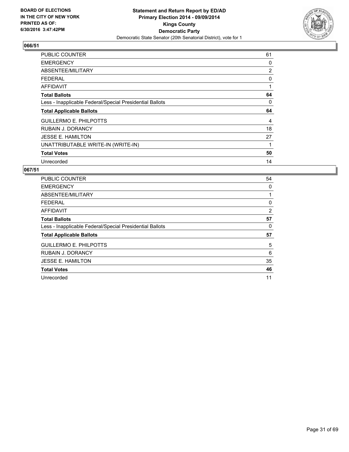

| <b>PUBLIC COUNTER</b>                                    | 61             |
|----------------------------------------------------------|----------------|
| <b>EMERGENCY</b>                                         | 0              |
| ABSENTEE/MILITARY                                        | $\overline{2}$ |
| <b>FEDERAL</b>                                           | 0              |
| <b>AFFIDAVIT</b>                                         |                |
| <b>Total Ballots</b>                                     | 64             |
| Less - Inapplicable Federal/Special Presidential Ballots | 0              |
| <b>Total Applicable Ballots</b>                          | 64             |
|                                                          | 4              |
| <b>GUILLERMO E. PHILPOTTS</b>                            |                |
| <b>RUBAIN J. DORANCY</b>                                 | 18             |
| <b>JESSE E. HAMILTON</b>                                 | 27             |
| UNATTRIBUTABLE WRITE-IN (WRITE-IN)                       |                |
| <b>Total Votes</b>                                       | 50             |

| <b>PUBLIC COUNTER</b>                                    | 54 |
|----------------------------------------------------------|----|
| <b>EMERGENCY</b>                                         | 0  |
| ABSENTEE/MILITARY                                        |    |
| <b>FEDERAL</b>                                           | 0  |
| AFFIDAVIT                                                | 2  |
| <b>Total Ballots</b>                                     | 57 |
| Less - Inapplicable Federal/Special Presidential Ballots | 0  |
| <b>Total Applicable Ballots</b>                          | 57 |
| <b>GUILLERMO E. PHILPOTTS</b>                            | 5  |
| <b>RUBAIN J. DORANCY</b>                                 | 6  |
| <b>JESSE E. HAMILTON</b>                                 | 35 |
| <b>Total Votes</b>                                       | 46 |
| Unrecorded                                               | 11 |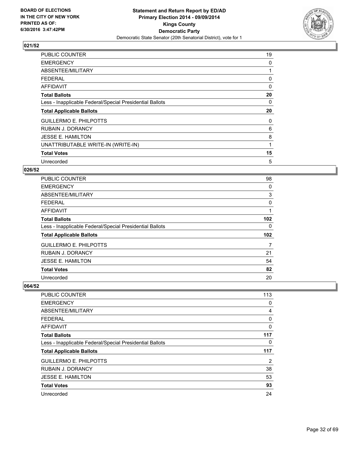

| <b>PUBLIC COUNTER</b>                                    | 19 |
|----------------------------------------------------------|----|
| <b>EMERGENCY</b>                                         | 0  |
| ABSENTEE/MILITARY                                        |    |
| <b>FEDERAL</b>                                           | 0  |
| <b>AFFIDAVIT</b>                                         | 0  |
| <b>Total Ballots</b>                                     | 20 |
| Less - Inapplicable Federal/Special Presidential Ballots | 0  |
| <b>Total Applicable Ballots</b>                          | 20 |
| <b>GUILLERMO E. PHILPOTTS</b>                            | 0  |
| <b>RUBAIN J. DORANCY</b>                                 | 6  |
| <b>JESSE E. HAMILTON</b>                                 | 8  |
| UNATTRIBUTABLE WRITE-IN (WRITE-IN)                       |    |
|                                                          |    |
| <b>Total Votes</b>                                       | 15 |

## **026/52**

| <b>PUBLIC COUNTER</b>                                    | 98  |
|----------------------------------------------------------|-----|
| <b>EMERGENCY</b>                                         | 0   |
| ABSENTEE/MILITARY                                        | 3   |
| FEDERAL                                                  | 0   |
| AFFIDAVIT                                                | 1   |
| <b>Total Ballots</b>                                     | 102 |
| Less - Inapplicable Federal/Special Presidential Ballots | 0   |
| <b>Total Applicable Ballots</b>                          | 102 |
| <b>GUILLERMO E. PHILPOTTS</b>                            | 7   |
| <b>RUBAIN J. DORANCY</b>                                 | 21  |
| <b>JESSE E. HAMILTON</b>                                 | 54  |
| <b>Total Votes</b>                                       | 82  |
| Unrecorded                                               | 20  |

| PUBLIC COUNTER                                           | 113 |
|----------------------------------------------------------|-----|
| <b>EMERGENCY</b>                                         | 0   |
| ABSENTEE/MILITARY                                        | 4   |
| <b>FEDERAL</b>                                           | 0   |
| AFFIDAVIT                                                | 0   |
| <b>Total Ballots</b>                                     | 117 |
| Less - Inapplicable Federal/Special Presidential Ballots | 0   |
| <b>Total Applicable Ballots</b>                          | 117 |
| <b>GUILLERMO E. PHILPOTTS</b>                            | 2   |
| <b>RUBAIN J. DORANCY</b>                                 | 38  |
| <b>JESSE E. HAMILTON</b>                                 | 53  |
| <b>Total Votes</b>                                       | 93  |
| Unrecorded                                               | 24  |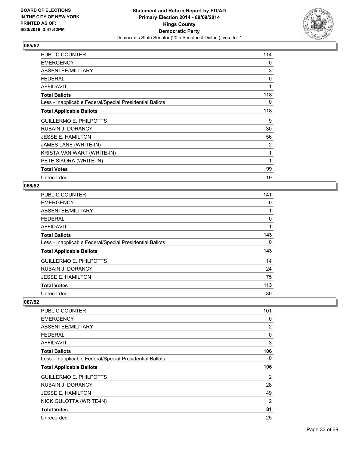

| PUBLIC COUNTER                                           | 114 |
|----------------------------------------------------------|-----|
| <b>EMERGENCY</b>                                         | 0   |
| ABSENTEE/MILITARY                                        | 3   |
| <b>FEDERAL</b>                                           | 0   |
| <b>AFFIDAVIT</b>                                         | 1   |
| <b>Total Ballots</b>                                     | 118 |
| Less - Inapplicable Federal/Special Presidential Ballots | 0   |
| <b>Total Applicable Ballots</b>                          | 118 |
| <b>GUILLERMO E. PHILPOTTS</b>                            | 9   |
| <b>RUBAIN J. DORANCY</b>                                 | 30  |
| <b>JESSE E. HAMILTON</b>                                 | 56  |
| JAMES LANE (WRITE-IN)                                    | 2   |
| KRISTA VAN WART (WRITE-IN)                               | 1   |
| PETE SIKORA (WRITE-IN)                                   | 1   |
| <b>Total Votes</b>                                       | 99  |
| Unrecorded                                               | 19  |

## **066/52**

| PUBLIC COUNTER                                           | 141 |
|----------------------------------------------------------|-----|
| <b>EMERGENCY</b>                                         | 0   |
| ABSENTEE/MILITARY                                        | 1   |
| <b>FEDERAL</b>                                           | 0   |
| <b>AFFIDAVIT</b>                                         | 1   |
| <b>Total Ballots</b>                                     | 143 |
| Less - Inapplicable Federal/Special Presidential Ballots | 0   |
| <b>Total Applicable Ballots</b>                          | 143 |
| <b>GUILLERMO E. PHILPOTTS</b>                            | 14  |
| RUBAIN J. DORANCY                                        | 24  |
| <b>JESSE E. HAMILTON</b>                                 | 75  |
| <b>Total Votes</b>                                       | 113 |
| Unrecorded                                               | 30  |

| PUBLIC COUNTER                                           | 101            |
|----------------------------------------------------------|----------------|
| <b>EMERGENCY</b>                                         | 0              |
| ABSENTEE/MILITARY                                        | $\overline{2}$ |
| <b>FEDERAL</b>                                           | 0              |
| AFFIDAVIT                                                | 3              |
| <b>Total Ballots</b>                                     | 106            |
| Less - Inapplicable Federal/Special Presidential Ballots | 0              |
| <b>Total Applicable Ballots</b>                          | 106            |
|                                                          |                |
| <b>GUILLERMO E. PHILPOTTS</b>                            | $\overline{2}$ |
| <b>RUBAIN J. DORANCY</b>                                 | 28             |
| <b>JESSE E. HAMILTON</b>                                 | 49             |
| NICK GULOTTA (WRITE-IN)                                  | 2              |
| <b>Total Votes</b>                                       | 81             |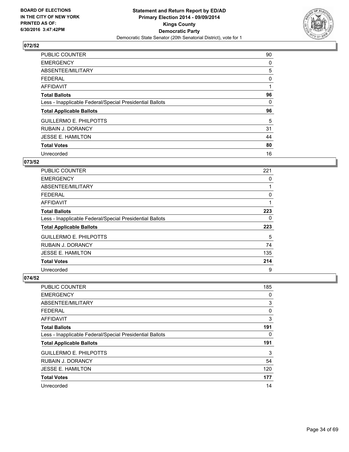

| PUBLIC COUNTER                                           | 90 |
|----------------------------------------------------------|----|
| <b>EMERGENCY</b>                                         | 0  |
| ABSENTEE/MILITARY                                        | 5  |
| <b>FEDERAL</b>                                           | 0  |
| <b>AFFIDAVIT</b>                                         |    |
| <b>Total Ballots</b>                                     | 96 |
| Less - Inapplicable Federal/Special Presidential Ballots | 0  |
| <b>Total Applicable Ballots</b>                          | 96 |
| <b>GUILLERMO E. PHILPOTTS</b>                            | 5  |
| <b>RUBAIN J. DORANCY</b>                                 | 31 |
| <b>JESSE E. HAMILTON</b>                                 | 44 |
| <b>Total Votes</b>                                       | 80 |
| Unrecorded                                               | 16 |

#### **073/52**

| <b>PUBLIC COUNTER</b>                                    | 221 |
|----------------------------------------------------------|-----|
| <b>EMERGENCY</b>                                         | 0   |
| ABSENTEE/MILITARY                                        |     |
| <b>FEDERAL</b>                                           | 0   |
| AFFIDAVIT                                                |     |
| <b>Total Ballots</b>                                     | 223 |
| Less - Inapplicable Federal/Special Presidential Ballots | 0   |
| <b>Total Applicable Ballots</b>                          | 223 |
| <b>GUILLERMO E. PHILPOTTS</b>                            | 5   |
| <b>RUBAIN J. DORANCY</b>                                 | 74  |
| <b>JESSE E. HAMILTON</b>                                 | 135 |
| <b>Total Votes</b>                                       | 214 |
| Unrecorded                                               | 9   |

| <b>PUBLIC COUNTER</b>                                    | 185 |
|----------------------------------------------------------|-----|
| <b>EMERGENCY</b>                                         | 0   |
| ABSENTEE/MILITARY                                        | 3   |
| <b>FEDERAL</b>                                           | 0   |
| <b>AFFIDAVIT</b>                                         | 3   |
| <b>Total Ballots</b>                                     | 191 |
| Less - Inapplicable Federal/Special Presidential Ballots | 0   |
| <b>Total Applicable Ballots</b>                          | 191 |
| <b>GUILLERMO E. PHILPOTTS</b>                            | 3   |
| <b>RUBAIN J. DORANCY</b>                                 | 54  |
| <b>JESSE E. HAMILTON</b>                                 | 120 |
| <b>Total Votes</b>                                       | 177 |
| Unrecorded                                               | 14  |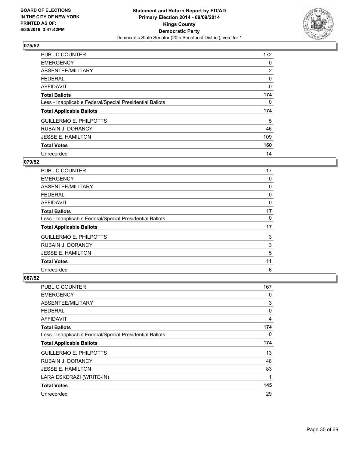

| <b>PUBLIC COUNTER</b>                                    | 172            |
|----------------------------------------------------------|----------------|
| <b>EMERGENCY</b>                                         | 0              |
| ABSENTEE/MILITARY                                        | $\overline{2}$ |
| <b>FEDERAL</b>                                           | 0              |
| AFFIDAVIT                                                | 0              |
| <b>Total Ballots</b>                                     | 174            |
| Less - Inapplicable Federal/Special Presidential Ballots | 0              |
| <b>Total Applicable Ballots</b>                          | 174            |
| <b>GUILLERMO E. PHILPOTTS</b>                            | 5              |
| <b>RUBAIN J. DORANCY</b>                                 | 46             |
| <b>JESSE E. HAMILTON</b>                                 | 109            |
| <b>Total Votes</b>                                       | 160            |
| Unrecorded                                               | 14             |

## **079/52**

| <b>PUBLIC COUNTER</b>                                    | 17 |
|----------------------------------------------------------|----|
| <b>EMERGENCY</b>                                         | 0  |
| ABSENTEE/MILITARY                                        | 0  |
| <b>FEDERAL</b>                                           | 0  |
| AFFIDAVIT                                                | 0  |
| <b>Total Ballots</b>                                     | 17 |
| Less - Inapplicable Federal/Special Presidential Ballots | 0  |
| <b>Total Applicable Ballots</b>                          | 17 |
| <b>GUILLERMO E. PHILPOTTS</b>                            | 3  |
| <b>RUBAIN J. DORANCY</b>                                 | 3  |
| <b>JESSE E. HAMILTON</b>                                 | 5  |
| <b>Total Votes</b>                                       | 11 |
| Unrecorded                                               | 6  |

| PUBLIC COUNTER                                           | 167 |
|----------------------------------------------------------|-----|
| <b>EMERGENCY</b>                                         | 0   |
| ABSENTEE/MILITARY                                        | 3   |
| <b>FEDERAL</b>                                           | 0   |
| AFFIDAVIT                                                | 4   |
| <b>Total Ballots</b>                                     | 174 |
| Less - Inapplicable Federal/Special Presidential Ballots | 0   |
| <b>Total Applicable Ballots</b>                          | 174 |
| <b>GUILLERMO E. PHILPOTTS</b>                            | 13  |
| <b>RUBAIN J. DORANCY</b>                                 | 48  |
| <b>JESSE E. HAMILTON</b>                                 | 83  |
| LARA ESKERAZI (WRITE-IN)                                 | 1   |
| <b>Total Votes</b>                                       | 145 |
| Unrecorded                                               | 29  |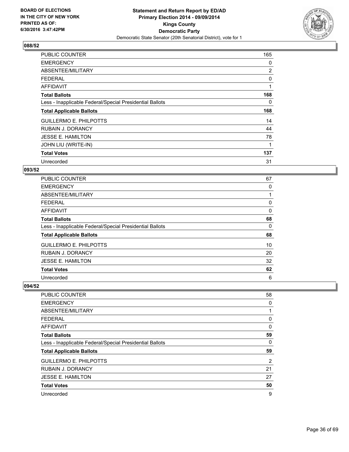

| <b>PUBLIC COUNTER</b>                                    | 165            |
|----------------------------------------------------------|----------------|
| <b>EMERGENCY</b>                                         | 0              |
| ABSENTEE/MILITARY                                        | $\overline{2}$ |
| <b>FEDERAL</b>                                           | 0              |
| <b>AFFIDAVIT</b>                                         | 1              |
| <b>Total Ballots</b>                                     | 168            |
| Less - Inapplicable Federal/Special Presidential Ballots | 0              |
| <b>Total Applicable Ballots</b>                          | 168            |
| <b>GUILLERMO E. PHILPOTTS</b>                            | 14             |
| <b>RUBAIN J. DORANCY</b>                                 | 44             |
| <b>JESSE E. HAMILTON</b>                                 | 78             |
| JOHN LIU (WRITE-IN)                                      | 1              |
| <b>Total Votes</b>                                       | 137            |
| Unrecorded                                               | 31             |

## **093/52**

| PUBLIC COUNTER                                           | 67 |
|----------------------------------------------------------|----|
| <b>EMERGENCY</b>                                         | 0  |
| ABSENTEE/MILITARY                                        | 1  |
| <b>FEDERAL</b>                                           | 0  |
| AFFIDAVIT                                                | 0  |
| <b>Total Ballots</b>                                     | 68 |
| Less - Inapplicable Federal/Special Presidential Ballots | 0  |
| <b>Total Applicable Ballots</b>                          | 68 |
| <b>GUILLERMO E. PHILPOTTS</b>                            | 10 |
| <b>RUBAIN J. DORANCY</b>                                 | 20 |
| <b>JESSE E. HAMILTON</b>                                 | 32 |
| <b>Total Votes</b>                                       | 62 |
| Unrecorded                                               | 6  |

| <b>PUBLIC COUNTER</b>                                    | 58 |
|----------------------------------------------------------|----|
| <b>EMERGENCY</b>                                         | 0  |
| ABSENTEE/MILITARY                                        | 1  |
| <b>FEDERAL</b>                                           | 0  |
| <b>AFFIDAVIT</b>                                         | 0  |
| <b>Total Ballots</b>                                     | 59 |
| Less - Inapplicable Federal/Special Presidential Ballots | 0  |
| <b>Total Applicable Ballots</b>                          | 59 |
| <b>GUILLERMO E. PHILPOTTS</b>                            | 2  |
| <b>RUBAIN J. DORANCY</b>                                 | 21 |
| <b>JESSE E. HAMILTON</b>                                 | 27 |
| <b>Total Votes</b>                                       | 50 |
| Unrecorded                                               | 9  |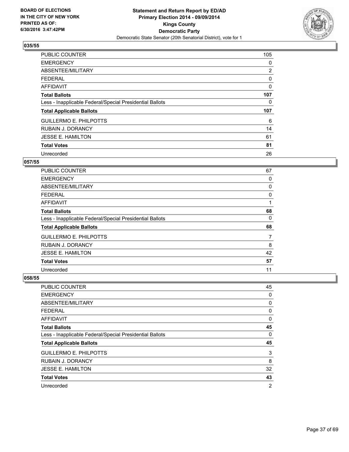

| <b>PUBLIC COUNTER</b>                                    | 105            |
|----------------------------------------------------------|----------------|
| <b>EMERGENCY</b>                                         | 0              |
| ABSENTEE/MILITARY                                        | $\overline{2}$ |
| <b>FEDERAL</b>                                           | 0              |
| AFFIDAVIT                                                | 0              |
| <b>Total Ballots</b>                                     | 107            |
| Less - Inapplicable Federal/Special Presidential Ballots | 0              |
| <b>Total Applicable Ballots</b>                          | 107            |
| <b>GUILLERMO E. PHILPOTTS</b>                            | 6              |
| <b>RUBAIN J. DORANCY</b>                                 | 14             |
| <b>JESSE E. HAMILTON</b>                                 | 61             |
| <b>Total Votes</b>                                       | 81             |
| Unrecorded                                               | 26             |

#### **057/55**

| <b>PUBLIC COUNTER</b>                                    | 67 |
|----------------------------------------------------------|----|
| <b>EMERGENCY</b>                                         | 0  |
| ABSENTEE/MILITARY                                        | 0  |
| <b>FEDERAL</b>                                           | 0  |
| <b>AFFIDAVIT</b>                                         | 1  |
| <b>Total Ballots</b>                                     | 68 |
| Less - Inapplicable Federal/Special Presidential Ballots | 0  |
| <b>Total Applicable Ballots</b>                          | 68 |
| <b>GUILLERMO E. PHILPOTTS</b>                            | 7  |
| <b>RUBAIN J. DORANCY</b>                                 | 8  |
| <b>JESSE E. HAMILTON</b>                                 | 42 |
| <b>Total Votes</b>                                       | 57 |
| Unrecorded                                               | 11 |

| <b>PUBLIC COUNTER</b>                                    | 45             |
|----------------------------------------------------------|----------------|
| <b>EMERGENCY</b>                                         | 0              |
| ABSENTEE/MILITARY                                        | 0              |
| FEDERAL                                                  | 0              |
| <b>AFFIDAVIT</b>                                         | 0              |
| <b>Total Ballots</b>                                     | 45             |
| Less - Inapplicable Federal/Special Presidential Ballots | 0              |
| <b>Total Applicable Ballots</b>                          | 45             |
| <b>GUILLERMO E. PHILPOTTS</b>                            | 3              |
| <b>RUBAIN J. DORANCY</b>                                 | 8              |
| <b>JESSE E. HAMILTON</b>                                 | 32             |
| <b>Total Votes</b>                                       | 43             |
| Unrecorded                                               | $\overline{2}$ |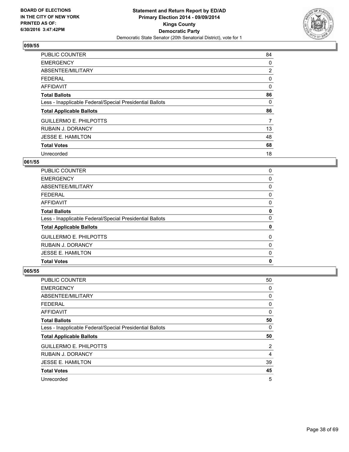

| <b>PUBLIC COUNTER</b>                                    | 84             |
|----------------------------------------------------------|----------------|
| <b>EMERGENCY</b>                                         | 0              |
| ABSENTEE/MILITARY                                        | $\overline{2}$ |
| <b>FEDERAL</b>                                           | 0              |
| AFFIDAVIT                                                | 0              |
| <b>Total Ballots</b>                                     | 86             |
| Less - Inapplicable Federal/Special Presidential Ballots | 0              |
| <b>Total Applicable Ballots</b>                          | 86             |
| <b>GUILLERMO E. PHILPOTTS</b>                            | 7              |
| <b>RUBAIN J. DORANCY</b>                                 | 13             |
| <b>JESSE E. HAMILTON</b>                                 | 48             |
| <b>Total Votes</b>                                       | 68             |
| Unrecorded                                               | 18             |

## **061/55**

| <b>PUBLIC COUNTER</b>                                    | 0 |
|----------------------------------------------------------|---|
| <b>EMERGENCY</b>                                         | 0 |
| ABSENTEE/MILITARY                                        | 0 |
| <b>FEDERAL</b>                                           | 0 |
| AFFIDAVIT                                                | 0 |
| <b>Total Ballots</b>                                     | 0 |
| Less - Inapplicable Federal/Special Presidential Ballots | 0 |
| <b>Total Applicable Ballots</b>                          | 0 |
| <b>GUILLERMO E. PHILPOTTS</b>                            | 0 |
| <b>RUBAIN J. DORANCY</b>                                 | 0 |
| <b>JESSE E. HAMILTON</b>                                 | 0 |
| <b>Total Votes</b>                                       | 0 |
|                                                          |   |

| PUBLIC COUNTER                                           | 50 |
|----------------------------------------------------------|----|
| <b>EMERGENCY</b>                                         | 0  |
| ABSENTEE/MILITARY                                        | 0  |
| <b>FEDERAL</b>                                           | 0  |
| AFFIDAVIT                                                | 0  |
| <b>Total Ballots</b>                                     | 50 |
| Less - Inapplicable Federal/Special Presidential Ballots | 0  |
| <b>Total Applicable Ballots</b>                          | 50 |
| <b>GUILLERMO E. PHILPOTTS</b>                            | 2  |
| <b>RUBAIN J. DORANCY</b>                                 | 4  |
| <b>JESSE E. HAMILTON</b>                                 | 39 |
| <b>Total Votes</b>                                       | 45 |
| Unrecorded                                               | 5  |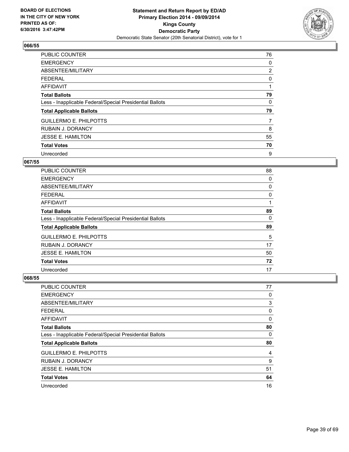

| <b>PUBLIC COUNTER</b>                                    | 76             |
|----------------------------------------------------------|----------------|
| <b>EMERGENCY</b>                                         | 0              |
| ABSENTEE/MILITARY                                        | $\overline{2}$ |
| <b>FEDERAL</b>                                           | 0              |
| AFFIDAVIT                                                |                |
| <b>Total Ballots</b>                                     | 79             |
| Less - Inapplicable Federal/Special Presidential Ballots | 0              |
| <b>Total Applicable Ballots</b>                          | 79             |
| <b>GUILLERMO E. PHILPOTTS</b>                            | 7              |
| <b>RUBAIN J. DORANCY</b>                                 | 8              |
| <b>JESSE E. HAMILTON</b>                                 | 55             |
| <b>Total Votes</b>                                       | 70             |
| Unrecorded                                               | 9              |

#### **067/55**

| <b>PUBLIC COUNTER</b>                                    | 88 |
|----------------------------------------------------------|----|
| <b>EMERGENCY</b>                                         | 0  |
| ABSENTEE/MILITARY                                        | 0  |
| <b>FEDERAL</b>                                           | 0  |
| AFFIDAVIT                                                | 1  |
| <b>Total Ballots</b>                                     | 89 |
| Less - Inapplicable Federal/Special Presidential Ballots | 0  |
| <b>Total Applicable Ballots</b>                          | 89 |
| <b>GUILLERMO E. PHILPOTTS</b>                            | 5  |
| <b>RUBAIN J. DORANCY</b>                                 | 17 |
| <b>JESSE E. HAMILTON</b>                                 | 50 |
| <b>Total Votes</b>                                       | 72 |
| Unrecorded                                               | 17 |

| <b>PUBLIC COUNTER</b>                                    | 77 |
|----------------------------------------------------------|----|
| <b>EMERGENCY</b>                                         | 0  |
| ABSENTEE/MILITARY                                        | 3  |
| <b>FEDERAL</b>                                           | 0  |
| <b>AFFIDAVIT</b>                                         | 0  |
| <b>Total Ballots</b>                                     | 80 |
| Less - Inapplicable Federal/Special Presidential Ballots | 0  |
| <b>Total Applicable Ballots</b>                          | 80 |
| <b>GUILLERMO E. PHILPOTTS</b>                            | 4  |
| <b>RUBAIN J. DORANCY</b>                                 | 9  |
| <b>JESSE E. HAMILTON</b>                                 | 51 |
| <b>Total Votes</b>                                       | 64 |
| Unrecorded                                               | 16 |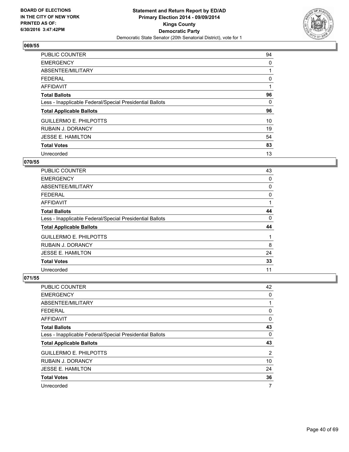

| <b>PUBLIC COUNTER</b>                                    | 94 |
|----------------------------------------------------------|----|
| <b>EMERGENCY</b>                                         | 0  |
| ABSENTEE/MILITARY                                        |    |
| <b>FEDERAL</b>                                           | 0  |
| <b>AFFIDAVIT</b>                                         |    |
| <b>Total Ballots</b>                                     | 96 |
| Less - Inapplicable Federal/Special Presidential Ballots | 0  |
| <b>Total Applicable Ballots</b>                          | 96 |
| <b>GUILLERMO E. PHILPOTTS</b>                            | 10 |
| <b>RUBAIN J. DORANCY</b>                                 | 19 |
| <b>JESSE E. HAMILTON</b>                                 | 54 |
| <b>Total Votes</b>                                       | 83 |
| Unrecorded                                               | 13 |

# **070/55**

| <b>PUBLIC COUNTER</b>                                    | 43 |
|----------------------------------------------------------|----|
| <b>EMERGENCY</b>                                         | 0  |
| ABSENTEE/MILITARY                                        | 0  |
| <b>FEDERAL</b>                                           | 0  |
| AFFIDAVIT                                                |    |
| <b>Total Ballots</b>                                     | 44 |
| Less - Inapplicable Federal/Special Presidential Ballots | 0  |
| <b>Total Applicable Ballots</b>                          | 44 |
| <b>GUILLERMO E. PHILPOTTS</b>                            |    |
| <b>RUBAIN J. DORANCY</b>                                 | 8  |
| <b>JESSE E. HAMILTON</b>                                 | 24 |
| <b>Total Votes</b>                                       | 33 |
| Unrecorded                                               | 11 |

| <b>PUBLIC COUNTER</b>                                    | 42 |
|----------------------------------------------------------|----|
| <b>EMERGENCY</b>                                         | 0  |
| ABSENTEE/MILITARY                                        | 1  |
| FEDERAL                                                  | 0  |
| <b>AFFIDAVIT</b>                                         | 0  |
| <b>Total Ballots</b>                                     | 43 |
| Less - Inapplicable Federal/Special Presidential Ballots | 0  |
| <b>Total Applicable Ballots</b>                          | 43 |
| <b>GUILLERMO E. PHILPOTTS</b>                            | 2  |
| <b>RUBAIN J. DORANCY</b>                                 | 10 |
| <b>JESSE E. HAMILTON</b>                                 | 24 |
| <b>Total Votes</b>                                       | 36 |
| Unrecorded                                               | 7  |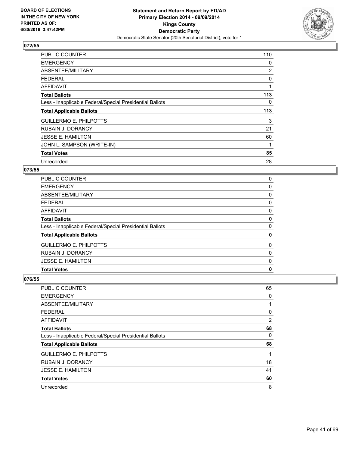

| <b>PUBLIC COUNTER</b>                                    | 110 |
|----------------------------------------------------------|-----|
| <b>EMERGENCY</b>                                         | 0   |
| ABSENTEE/MILITARY                                        | 2   |
| <b>FEDERAL</b>                                           | 0   |
| AFFIDAVIT                                                | 1   |
| <b>Total Ballots</b>                                     | 113 |
| Less - Inapplicable Federal/Special Presidential Ballots | 0   |
| <b>Total Applicable Ballots</b>                          | 113 |
| <b>GUILLERMO E. PHILPOTTS</b>                            | 3   |
| <b>RUBAIN J. DORANCY</b>                                 | 21  |
| <b>JESSE E. HAMILTON</b>                                 | 60  |
| JOHN L. SAMPSON (WRITE-IN)                               |     |
| <b>Total Votes</b>                                       | 85  |
| Unrecorded                                               | 28  |

## **073/55**

| <b>Total Votes</b>                                       | 0 |
|----------------------------------------------------------|---|
| <b>JESSE E. HAMILTON</b>                                 | 0 |
| <b>RUBAIN J. DORANCY</b>                                 | 0 |
| <b>GUILLERMO E. PHILPOTTS</b>                            | 0 |
| <b>Total Applicable Ballots</b>                          | 0 |
| Less - Inapplicable Federal/Special Presidential Ballots | 0 |
| <b>Total Ballots</b>                                     | 0 |
| <b>AFFIDAVIT</b>                                         | 0 |
| <b>FEDERAL</b>                                           | 0 |
| ABSENTEE/MILITARY                                        | 0 |
| <b>EMERGENCY</b>                                         | 0 |
| <b>PUBLIC COUNTER</b>                                    | 0 |

| <b>PUBLIC COUNTER</b>                                    | 65 |
|----------------------------------------------------------|----|
| <b>EMERGENCY</b>                                         | 0  |
| ABSENTEE/MILITARY                                        |    |
| <b>FEDERAL</b>                                           | 0  |
| <b>AFFIDAVIT</b>                                         | 2  |
| <b>Total Ballots</b>                                     | 68 |
| Less - Inapplicable Federal/Special Presidential Ballots | 0  |
| <b>Total Applicable Ballots</b>                          | 68 |
| <b>GUILLERMO E. PHILPOTTS</b>                            |    |
| <b>RUBAIN J. DORANCY</b>                                 | 18 |
| <b>JESSE E. HAMILTON</b>                                 | 41 |
| <b>Total Votes</b>                                       | 60 |
| Unrecorded                                               | 8  |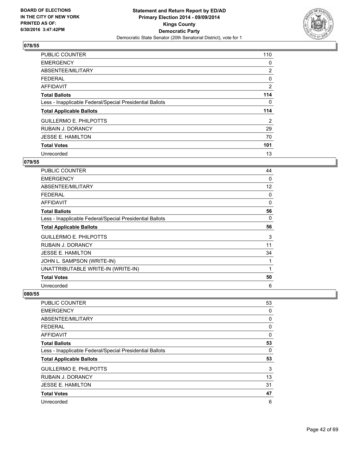

| <b>PUBLIC COUNTER</b>                                    | 110            |
|----------------------------------------------------------|----------------|
| <b>EMERGENCY</b>                                         | 0              |
| ABSENTEE/MILITARY                                        | $\overline{2}$ |
| <b>FEDERAL</b>                                           | 0              |
| AFFIDAVIT                                                | 2              |
| <b>Total Ballots</b>                                     | 114            |
| Less - Inapplicable Federal/Special Presidential Ballots | 0              |
| <b>Total Applicable Ballots</b>                          | 114            |
| <b>GUILLERMO E. PHILPOTTS</b>                            | $\overline{2}$ |
| <b>RUBAIN J. DORANCY</b>                                 | 29             |
| <b>JESSE E. HAMILTON</b>                                 | 70             |
| <b>Total Votes</b>                                       | 101            |
| Unrecorded                                               | 13             |

# **079/55**

| PUBLIC COUNTER                                           | 44 |
|----------------------------------------------------------|----|
| <b>EMERGENCY</b>                                         | 0  |
| ABSENTEE/MILITARY                                        | 12 |
| <b>FEDERAL</b>                                           | 0  |
| <b>AFFIDAVIT</b>                                         | 0  |
| <b>Total Ballots</b>                                     | 56 |
| Less - Inapplicable Federal/Special Presidential Ballots | 0  |
| <b>Total Applicable Ballots</b>                          | 56 |
| <b>GUILLERMO E. PHILPOTTS</b>                            | 3  |
| <b>RUBAIN J. DORANCY</b>                                 | 11 |
| <b>JESSE E. HAMILTON</b>                                 | 34 |
| JOHN L. SAMPSON (WRITE-IN)                               |    |
| UNATTRIBUTABLE WRITE-IN (WRITE-IN)                       | 1  |
| <b>Total Votes</b>                                       | 50 |
| Unrecorded                                               | 6  |

| <b>PUBLIC COUNTER</b>                                    | 53 |
|----------------------------------------------------------|----|
| <b>EMERGENCY</b>                                         | 0  |
| ABSENTEE/MILITARY                                        | 0  |
| <b>FEDERAL</b>                                           | 0  |
| AFFIDAVIT                                                | 0  |
| <b>Total Ballots</b>                                     | 53 |
| Less - Inapplicable Federal/Special Presidential Ballots | 0  |
| <b>Total Applicable Ballots</b>                          | 53 |
| <b>GUILLERMO E. PHILPOTTS</b>                            | 3  |
| <b>RUBAIN J. DORANCY</b>                                 | 13 |
| <b>JESSE E. HAMILTON</b>                                 | 31 |
| <b>Total Votes</b>                                       | 47 |
| Unrecorded                                               | 6  |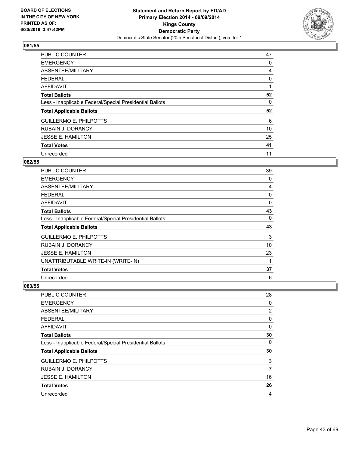

| <b>PUBLIC COUNTER</b>                                    | 47 |
|----------------------------------------------------------|----|
| <b>EMERGENCY</b>                                         | 0  |
| ABSENTEE/MILITARY                                        | 4  |
| <b>FEDERAL</b>                                           | 0  |
| AFFIDAVIT                                                |    |
| <b>Total Ballots</b>                                     | 52 |
| Less - Inapplicable Federal/Special Presidential Ballots | 0  |
| <b>Total Applicable Ballots</b>                          | 52 |
| <b>GUILLERMO E. PHILPOTTS</b>                            | 6  |
| <b>RUBAIN J. DORANCY</b>                                 | 10 |
| <b>JESSE E. HAMILTON</b>                                 | 25 |
| <b>Total Votes</b>                                       | 41 |
| Unrecorded                                               | 11 |

# **082/55**

| PUBLIC COUNTER                                           | 39 |
|----------------------------------------------------------|----|
| <b>EMERGENCY</b>                                         | 0  |
| ABSENTEE/MILITARY                                        | 4  |
| <b>FEDERAL</b>                                           | 0  |
| AFFIDAVIT                                                | 0  |
| <b>Total Ballots</b>                                     | 43 |
| Less - Inapplicable Federal/Special Presidential Ballots | 0  |
| <b>Total Applicable Ballots</b>                          | 43 |
| <b>GUILLERMO E. PHILPOTTS</b>                            | 3  |
| <b>RUBAIN J. DORANCY</b>                                 | 10 |
| <b>JESSE E. HAMILTON</b>                                 | 23 |
| UNATTRIBUTABLE WRITE-IN (WRITE-IN)                       | 1  |
| <b>Total Votes</b>                                       | 37 |
| Unrecorded                                               | 6  |

| PUBLIC COUNTER                                           | 28 |
|----------------------------------------------------------|----|
| <b>EMERGENCY</b>                                         | 0  |
| ABSENTEE/MILITARY                                        | 2  |
| <b>FEDERAL</b>                                           | 0  |
| AFFIDAVIT                                                | 0  |
| <b>Total Ballots</b>                                     | 30 |
| Less - Inapplicable Federal/Special Presidential Ballots | 0  |
| <b>Total Applicable Ballots</b>                          | 30 |
| <b>GUILLERMO E. PHILPOTTS</b>                            | 3  |
| <b>RUBAIN J. DORANCY</b>                                 | 7  |
| <b>JESSE E. HAMILTON</b>                                 | 16 |
| <b>Total Votes</b>                                       | 26 |
| Unrecorded                                               | 4  |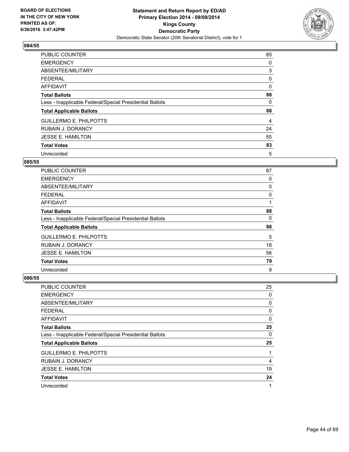

| <b>PUBLIC COUNTER</b>                                    | 85 |
|----------------------------------------------------------|----|
| <b>EMERGENCY</b>                                         | 0  |
| ABSENTEE/MILITARY                                        | 3  |
| <b>FEDERAL</b>                                           | 0  |
| <b>AFFIDAVIT</b>                                         | 0  |
| <b>Total Ballots</b>                                     | 88 |
| Less - Inapplicable Federal/Special Presidential Ballots | 0  |
| <b>Total Applicable Ballots</b>                          | 88 |
| <b>GUILLERMO E. PHILPOTTS</b>                            | 4  |
| <b>RUBAIN J. DORANCY</b>                                 | 24 |
| <b>JESSE E. HAMILTON</b>                                 | 55 |
| <b>Total Votes</b>                                       | 83 |
| Unrecorded                                               | 5  |

## **085/55**

| <b>PUBLIC COUNTER</b>                                    | 87 |
|----------------------------------------------------------|----|
| <b>EMERGENCY</b>                                         | 0  |
| ABSENTEE/MILITARY                                        | 0  |
| <b>FEDERAL</b>                                           | 0  |
| AFFIDAVIT                                                |    |
| <b>Total Ballots</b>                                     | 88 |
| Less - Inapplicable Federal/Special Presidential Ballots | 0  |
| <b>Total Applicable Ballots</b>                          | 88 |
| <b>GUILLERMO E. PHILPOTTS</b>                            | 5  |
| <b>RUBAIN J. DORANCY</b>                                 | 18 |
| <b>JESSE E. HAMILTON</b>                                 | 56 |
| <b>Total Votes</b>                                       | 79 |
| Unrecorded                                               | 9  |

| <b>PUBLIC COUNTER</b>                                    | 25 |
|----------------------------------------------------------|----|
| <b>EMERGENCY</b>                                         | 0  |
| ABSENTEE/MILITARY                                        | 0  |
| <b>FEDERAL</b>                                           | 0  |
| AFFIDAVIT                                                | 0  |
| <b>Total Ballots</b>                                     | 25 |
| Less - Inapplicable Federal/Special Presidential Ballots | 0  |
| <b>Total Applicable Ballots</b>                          | 25 |
| <b>GUILLERMO E. PHILPOTTS</b>                            | 1  |
| <b>RUBAIN J. DORANCY</b>                                 | 4  |
| <b>JESSE E. HAMILTON</b>                                 | 19 |
| <b>Total Votes</b>                                       | 24 |
| Unrecorded                                               | 1  |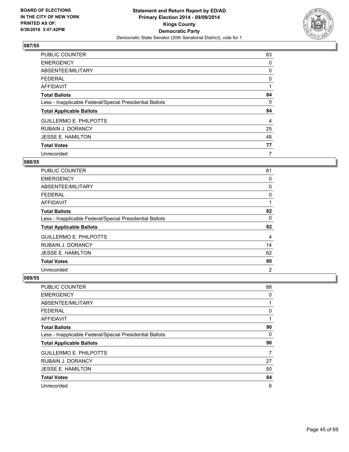

| <b>PUBLIC COUNTER</b>                                    | 83 |
|----------------------------------------------------------|----|
| <b>EMERGENCY</b>                                         | 0  |
| ABSENTEE/MILITARY                                        | 0  |
| <b>FEDERAL</b>                                           | 0  |
| <b>AFFIDAVIT</b>                                         |    |
| <b>Total Ballots</b>                                     | 84 |
| Less - Inapplicable Federal/Special Presidential Ballots | 0  |
| <b>Total Applicable Ballots</b>                          | 84 |
| <b>GUILLERMO E. PHILPOTTS</b>                            | 4  |
| <b>RUBAIN J. DORANCY</b>                                 | 25 |
| <b>JESSE E. HAMILTON</b>                                 | 48 |
| <b>Total Votes</b>                                       | 77 |
| Unrecorded                                               | 7  |

# **088/55**

| <b>PUBLIC COUNTER</b>                                    | 81             |
|----------------------------------------------------------|----------------|
| <b>EMERGENCY</b>                                         | 0              |
| ABSENTEE/MILITARY                                        | 0              |
| <b>FEDERAL</b>                                           | 0              |
| AFFIDAVIT                                                |                |
| <b>Total Ballots</b>                                     | 82             |
| Less - Inapplicable Federal/Special Presidential Ballots | 0              |
| <b>Total Applicable Ballots</b>                          | 82             |
| <b>GUILLERMO E. PHILPOTTS</b>                            | 4              |
| <b>RUBAIN J. DORANCY</b>                                 | 14             |
| <b>JESSE E. HAMILTON</b>                                 | 62             |
| <b>Total Votes</b>                                       | 80             |
| Unrecorded                                               | $\overline{2}$ |

| PUBLIC COUNTER                                           | 88 |
|----------------------------------------------------------|----|
| <b>EMERGENCY</b>                                         | 0  |
| ABSENTEE/MILITARY                                        | 1  |
| <b>FEDERAL</b>                                           | 0  |
| AFFIDAVIT                                                | 1  |
| <b>Total Ballots</b>                                     | 90 |
| Less - Inapplicable Federal/Special Presidential Ballots | 0  |
| <b>Total Applicable Ballots</b>                          | 90 |
| <b>GUILLERMO E. PHILPOTTS</b>                            | 7  |
| <b>RUBAIN J. DORANCY</b>                                 | 27 |
| <b>JESSE E. HAMILTON</b>                                 | 50 |
| <b>Total Votes</b>                                       | 84 |
| Unrecorded                                               | 6  |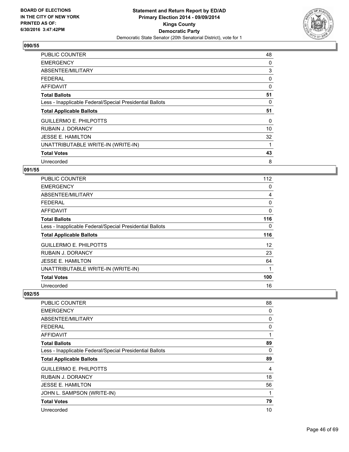

| <b>PUBLIC COUNTER</b>                                    | 48 |
|----------------------------------------------------------|----|
| <b>EMERGENCY</b>                                         | 0  |
| ABSENTEE/MILITARY                                        | 3  |
| <b>FEDERAL</b>                                           | 0  |
| AFFIDAVIT                                                | 0  |
| <b>Total Ballots</b>                                     | 51 |
| Less - Inapplicable Federal/Special Presidential Ballots | 0  |
| <b>Total Applicable Ballots</b>                          | 51 |
| <b>GUILLERMO E. PHILPOTTS</b>                            | 0  |
| <b>RUBAIN J. DORANCY</b>                                 | 10 |
| <b>JESSE E. HAMILTON</b>                                 | 32 |
| UNATTRIBUTABLE WRITE-IN (WRITE-IN)                       | 1  |
|                                                          |    |
| <b>Total Votes</b>                                       | 43 |

#### **091/55**

| <b>PUBLIC COUNTER</b>                                    | 112         |
|----------------------------------------------------------|-------------|
| <b>EMERGENCY</b>                                         | 0           |
| ABSENTEE/MILITARY                                        | 4           |
| <b>FEDERAL</b>                                           | 0           |
| AFFIDAVIT                                                | 0           |
| <b>Total Ballots</b>                                     | 116         |
| Less - Inapplicable Federal/Special Presidential Ballots | 0           |
| <b>Total Applicable Ballots</b>                          | 116         |
| <b>GUILLERMO E. PHILPOTTS</b>                            | 12          |
| <b>RUBAIN J. DORANCY</b>                                 | 23          |
| <b>JESSE E. HAMILTON</b>                                 | 64          |
| UNATTRIBUTABLE WRITE-IN (WRITE-IN)                       | $\mathbf 1$ |
| <b>Total Votes</b>                                       | 100         |
| Unrecorded                                               | 16          |

| PUBLIC COUNTER                                           | 88 |
|----------------------------------------------------------|----|
| <b>EMERGENCY</b>                                         | 0  |
| ABSENTEE/MILITARY                                        | 0  |
| <b>FEDERAL</b>                                           | 0  |
| AFFIDAVIT                                                | 1  |
| <b>Total Ballots</b>                                     | 89 |
| Less - Inapplicable Federal/Special Presidential Ballots | 0  |
|                                                          |    |
| <b>Total Applicable Ballots</b>                          | 89 |
| <b>GUILLERMO E. PHILPOTTS</b>                            | 4  |
| <b>RUBAIN J. DORANCY</b>                                 | 18 |
| <b>JESSE E. HAMILTON</b>                                 | 56 |
| JOHN L. SAMPSON (WRITE-IN)                               | 1  |
| <b>Total Votes</b>                                       | 79 |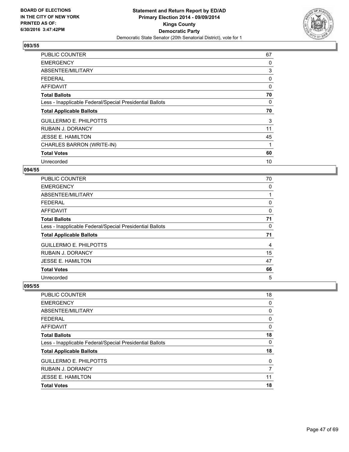

| <b>PUBLIC COUNTER</b>                                    | 67 |
|----------------------------------------------------------|----|
| <b>EMERGENCY</b>                                         | 0  |
| ABSENTEE/MILITARY                                        | 3  |
| <b>FEDERAL</b>                                           | 0  |
| <b>AFFIDAVIT</b>                                         | 0  |
| <b>Total Ballots</b>                                     | 70 |
| Less - Inapplicable Federal/Special Presidential Ballots | 0  |
| <b>Total Applicable Ballots</b>                          | 70 |
| <b>GUILLERMO E. PHILPOTTS</b>                            | 3  |
| RUBAIN J. DORANCY                                        | 11 |
| <b>JESSE E. HAMILTON</b>                                 | 45 |
| CHARLES BARRON (WRITE-IN)                                | 1  |
| <b>Total Votes</b>                                       | 60 |
| Unrecorded                                               | 10 |

## **094/55**

| PUBLIC COUNTER                                           | 70 |
|----------------------------------------------------------|----|
| <b>EMERGENCY</b>                                         | 0  |
| ABSENTEE/MILITARY                                        | 1  |
| <b>FEDERAL</b>                                           | 0  |
| AFFIDAVIT                                                | 0  |
| <b>Total Ballots</b>                                     | 71 |
| Less - Inapplicable Federal/Special Presidential Ballots | 0  |
| <b>Total Applicable Ballots</b>                          | 71 |
| <b>GUILLERMO E. PHILPOTTS</b>                            | 4  |
| <b>RUBAIN J. DORANCY</b>                                 | 15 |
| <b>JESSE E. HAMILTON</b>                                 | 47 |
| <b>Total Votes</b>                                       | 66 |
| Unrecorded                                               | 5  |

| PUBLIC COUNTER                                           | 18 |
|----------------------------------------------------------|----|
| <b>EMERGENCY</b>                                         | 0  |
| ABSENTEE/MILITARY                                        | 0  |
| <b>FEDERAL</b>                                           | 0  |
| <b>AFFIDAVIT</b>                                         | 0  |
| <b>Total Ballots</b>                                     | 18 |
| Less - Inapplicable Federal/Special Presidential Ballots | 0  |
| <b>Total Applicable Ballots</b>                          | 18 |
| <b>GUILLERMO E. PHILPOTTS</b>                            | 0  |
| <b>RUBAIN J. DORANCY</b>                                 | 7  |
| <b>JESSE E. HAMILTON</b>                                 | 11 |
| <b>Total Votes</b>                                       | 18 |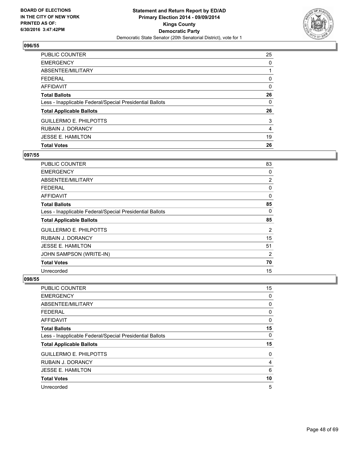

| <b>PUBLIC COUNTER</b>                                    | 25 |
|----------------------------------------------------------|----|
| <b>EMERGENCY</b>                                         | 0  |
| ABSENTEE/MILITARY                                        |    |
| <b>FEDERAL</b>                                           | 0  |
| <b>AFFIDAVIT</b>                                         | 0  |
| <b>Total Ballots</b>                                     | 26 |
| Less - Inapplicable Federal/Special Presidential Ballots | 0  |
| <b>Total Applicable Ballots</b>                          | 26 |
| <b>GUILLERMO E. PHILPOTTS</b>                            | 3  |
| <b>RUBAIN J. DORANCY</b>                                 | 4  |
| <b>JESSE E. HAMILTON</b>                                 | 19 |
| <b>Total Votes</b>                                       | 26 |

## **097/55**

| <b>PUBLIC COUNTER</b>                                    | 83 |
|----------------------------------------------------------|----|
| <b>EMERGENCY</b>                                         | 0  |
| ABSENTEE/MILITARY                                        | 2  |
| <b>FEDERAL</b>                                           | 0  |
| AFFIDAVIT                                                | 0  |
| <b>Total Ballots</b>                                     | 85 |
| Less - Inapplicable Federal/Special Presidential Ballots | 0  |
| <b>Total Applicable Ballots</b>                          | 85 |
| <b>GUILLERMO E. PHILPOTTS</b>                            | 2  |
| <b>RUBAIN J. DORANCY</b>                                 | 15 |
| <b>JESSE E. HAMILTON</b>                                 | 51 |
| JOHN SAMPSON (WRITE-IN)                                  | 2  |
| <b>Total Votes</b>                                       | 70 |
| Unrecorded                                               | 15 |

| <b>PUBLIC COUNTER</b>                                    | 15 |
|----------------------------------------------------------|----|
| <b>EMERGENCY</b>                                         | 0  |
| ABSENTEE/MILITARY                                        | 0  |
| <b>FEDERAL</b>                                           | 0  |
| <b>AFFIDAVIT</b>                                         | 0  |
| <b>Total Ballots</b>                                     | 15 |
| Less - Inapplicable Federal/Special Presidential Ballots | 0  |
| <b>Total Applicable Ballots</b>                          | 15 |
| <b>GUILLERMO E. PHILPOTTS</b>                            | 0  |
| <b>RUBAIN J. DORANCY</b>                                 | 4  |
| <b>JESSE E. HAMILTON</b>                                 | 6  |
| <b>Total Votes</b>                                       | 10 |
| Unrecorded                                               | 5  |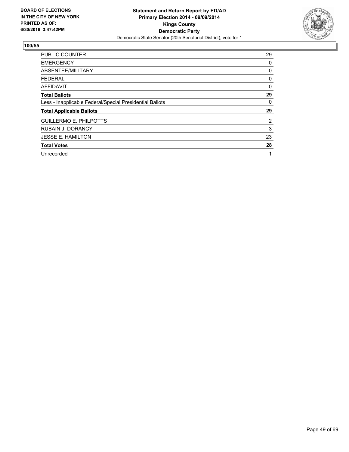

| <b>PUBLIC COUNTER</b>                                    | 29             |
|----------------------------------------------------------|----------------|
| <b>EMERGENCY</b>                                         | 0              |
| ABSENTEE/MILITARY                                        | 0              |
| <b>FEDERAL</b>                                           | 0              |
| <b>AFFIDAVIT</b>                                         | 0              |
| <b>Total Ballots</b>                                     | 29             |
| Less - Inapplicable Federal/Special Presidential Ballots | 0              |
| <b>Total Applicable Ballots</b>                          | 29             |
| <b>GUILLERMO E. PHILPOTTS</b>                            | $\overline{2}$ |
| <b>RUBAIN J. DORANCY</b>                                 | 3              |
| <b>JESSE E. HAMILTON</b>                                 | 23             |
| <b>Total Votes</b>                                       | 28             |
| Unrecorded                                               | 1              |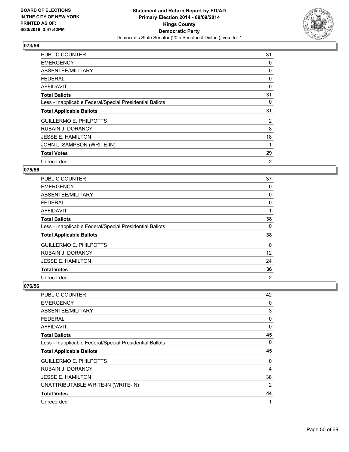

| <b>PUBLIC COUNTER</b>                                    | 31 |
|----------------------------------------------------------|----|
| <b>EMERGENCY</b>                                         | 0  |
| ABSENTEE/MILITARY                                        | 0  |
| <b>FEDERAL</b>                                           | 0  |
| <b>AFFIDAVIT</b>                                         | 0  |
| <b>Total Ballots</b>                                     | 31 |
| Less - Inapplicable Federal/Special Presidential Ballots | 0  |
| <b>Total Applicable Ballots</b>                          | 31 |
| <b>GUILLERMO E. PHILPOTTS</b>                            | 2  |
| <b>RUBAIN J. DORANCY</b>                                 | 8  |
| <b>JESSE E. HAMILTON</b>                                 | 18 |
| JOHN L. SAMPSON (WRITE-IN)                               | 1  |
| <b>Total Votes</b>                                       | 29 |
| Unrecorded                                               | 2  |

## **075/56**

| <b>PUBLIC COUNTER</b>                                    | 37 |
|----------------------------------------------------------|----|
| <b>EMERGENCY</b>                                         | 0  |
| ABSENTEE/MILITARY                                        | 0  |
| <b>FEDERAL</b>                                           | 0  |
| <b>AFFIDAVIT</b>                                         | 1  |
| <b>Total Ballots</b>                                     | 38 |
| Less - Inapplicable Federal/Special Presidential Ballots | 0  |
| <b>Total Applicable Ballots</b>                          | 38 |
| <b>GUILLERMO E. PHILPOTTS</b>                            | 0  |
| <b>RUBAIN J. DORANCY</b>                                 | 12 |
| <b>JESSE E. HAMILTON</b>                                 | 24 |
| <b>Total Votes</b>                                       | 36 |
| Unrecorded                                               | 2  |

| PUBLIC COUNTER                                           | 42 |
|----------------------------------------------------------|----|
| <b>EMERGENCY</b>                                         | 0  |
| ABSENTEE/MILITARY                                        | 3  |
| <b>FEDERAL</b>                                           | 0  |
| AFFIDAVIT                                                | 0  |
| <b>Total Ballots</b>                                     | 45 |
| Less - Inapplicable Federal/Special Presidential Ballots | 0  |
| <b>Total Applicable Ballots</b>                          | 45 |
|                                                          |    |
| <b>GUILLERMO E. PHILPOTTS</b>                            | 0  |
| RUBAIN J. DORANCY                                        | 4  |
| <b>JESSE E. HAMILTON</b>                                 | 38 |
| UNATTRIBUTABLE WRITE-IN (WRITE-IN)                       | 2  |
| <b>Total Votes</b>                                       | 44 |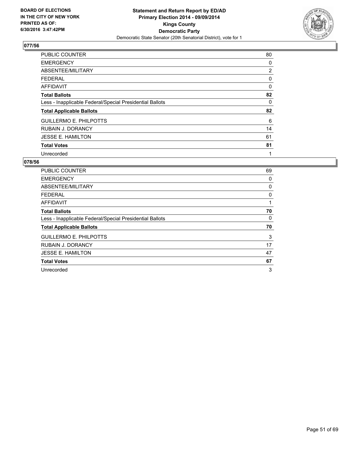

| <b>PUBLIC COUNTER</b>                                    | 80 |
|----------------------------------------------------------|----|
| <b>EMERGENCY</b>                                         | 0  |
| ABSENTEE/MILITARY                                        | 2  |
| <b>FEDERAL</b>                                           | 0  |
| <b>AFFIDAVIT</b>                                         | 0  |
| <b>Total Ballots</b>                                     | 82 |
| Less - Inapplicable Federal/Special Presidential Ballots | 0  |
| <b>Total Applicable Ballots</b>                          | 82 |
| <b>GUILLERMO E. PHILPOTTS</b>                            | 6  |
| <b>RUBAIN J. DORANCY</b>                                 | 14 |
| <b>JESSE E. HAMILTON</b>                                 | 61 |
| <b>Total Votes</b>                                       | 81 |
| Unrecorded                                               | 1  |

| <b>PUBLIC COUNTER</b>                                    | 69 |
|----------------------------------------------------------|----|
| <b>EMERGENCY</b>                                         | 0  |
| ABSENTEE/MILITARY                                        | 0  |
| FEDERAL                                                  | 0  |
| <b>AFFIDAVIT</b>                                         | 1  |
| <b>Total Ballots</b>                                     | 70 |
| Less - Inapplicable Federal/Special Presidential Ballots | 0  |
| <b>Total Applicable Ballots</b>                          | 70 |
| <b>GUILLERMO E. PHILPOTTS</b>                            | 3  |
| <b>RUBAIN J. DORANCY</b>                                 | 17 |
| <b>JESSE E. HAMILTON</b>                                 | 47 |
| <b>Total Votes</b>                                       | 67 |
| Unrecorded                                               | 3  |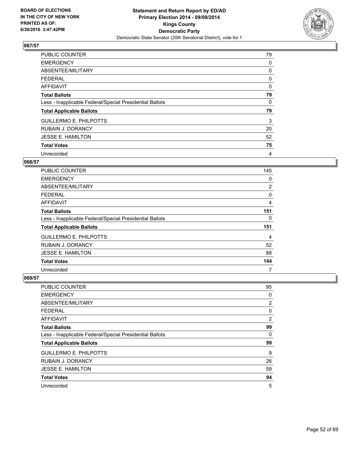

| <b>PUBLIC COUNTER</b>                                    | 79 |
|----------------------------------------------------------|----|
| <b>EMERGENCY</b>                                         | 0  |
| ABSENTEE/MILITARY                                        | 0  |
| <b>FEDERAL</b>                                           | 0  |
| <b>AFFIDAVIT</b>                                         | 0  |
| <b>Total Ballots</b>                                     | 79 |
| Less - Inapplicable Federal/Special Presidential Ballots | 0  |
| <b>Total Applicable Ballots</b>                          | 79 |
| <b>GUILLERMO E. PHILPOTTS</b>                            | 3  |
| <b>RUBAIN J. DORANCY</b>                                 | 20 |
| JESSE E. HAMILTON                                        | 52 |
| <b>Total Votes</b>                                       | 75 |
| Unrecorded                                               | 4  |

#### **068/57**

| <b>PUBLIC COUNTER</b>                                    | 145            |
|----------------------------------------------------------|----------------|
| <b>EMERGENCY</b>                                         | 0              |
| ABSENTEE/MILITARY                                        | $\overline{2}$ |
| <b>FEDERAL</b>                                           | 0              |
| AFFIDAVIT                                                | 4              |
| <b>Total Ballots</b>                                     | 151            |
| Less - Inapplicable Federal/Special Presidential Ballots | 0              |
| <b>Total Applicable Ballots</b>                          | 151            |
| <b>GUILLERMO E. PHILPOTTS</b>                            | 4              |
| <b>RUBAIN J. DORANCY</b>                                 | 52             |
| <b>JESSE E. HAMILTON</b>                                 | 88             |
| <b>Total Votes</b>                                       | 144            |
| Unrecorded                                               | 7              |

| <b>PUBLIC COUNTER</b>                                    | 95 |
|----------------------------------------------------------|----|
| <b>EMERGENCY</b>                                         | 0  |
| ABSENTEE/MILITARY                                        | 2  |
| <b>FEDERAL</b>                                           | 0  |
| AFFIDAVIT                                                | 2  |
| <b>Total Ballots</b>                                     | 99 |
| Less - Inapplicable Federal/Special Presidential Ballots | 0  |
| <b>Total Applicable Ballots</b>                          | 99 |
| <b>GUILLERMO E. PHILPOTTS</b>                            | 9  |
| <b>RUBAIN J. DORANCY</b>                                 | 26 |
| <b>JESSE E. HAMILTON</b>                                 | 59 |
| <b>Total Votes</b>                                       | 94 |
| Unrecorded                                               | 5  |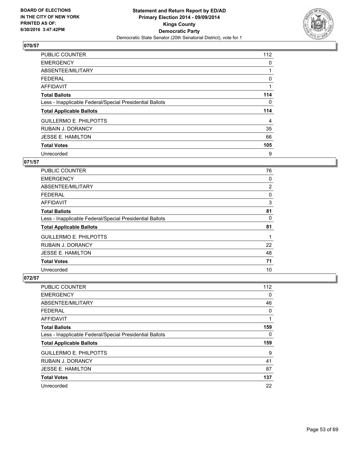

| <b>PUBLIC COUNTER</b>                                    | 112 |
|----------------------------------------------------------|-----|
| <b>EMERGENCY</b>                                         | 0   |
| ABSENTEE/MILITARY                                        |     |
| <b>FEDERAL</b>                                           | 0   |
| <b>AFFIDAVIT</b>                                         |     |
| <b>Total Ballots</b>                                     | 114 |
| Less - Inapplicable Federal/Special Presidential Ballots | 0   |
| <b>Total Applicable Ballots</b>                          | 114 |
| <b>GUILLERMO E. PHILPOTTS</b>                            | 4   |
| <b>RUBAIN J. DORANCY</b>                                 | 35  |
| <b>JESSE E. HAMILTON</b>                                 | 66  |
| <b>Total Votes</b>                                       | 105 |
| Unrecorded                                               | 9   |

# **071/57**

| <b>PUBLIC COUNTER</b>                                    | 76 |
|----------------------------------------------------------|----|
| <b>EMERGENCY</b>                                         | 0  |
| ABSENTEE/MILITARY                                        | 2  |
| <b>FEDERAL</b>                                           | 0  |
| <b>AFFIDAVIT</b>                                         | 3  |
| <b>Total Ballots</b>                                     | 81 |
| Less - Inapplicable Federal/Special Presidential Ballots | 0  |
| <b>Total Applicable Ballots</b>                          | 81 |
| <b>GUILLERMO E. PHILPOTTS</b>                            |    |
| RUBAIN J. DORANCY                                        | 22 |
| <b>JESSE E. HAMILTON</b>                                 | 48 |
| <b>Total Votes</b>                                       | 71 |
| Unrecorded                                               | 10 |

| PUBLIC COUNTER                                           | 112 |
|----------------------------------------------------------|-----|
| <b>EMERGENCY</b>                                         | 0   |
| ABSENTEE/MILITARY                                        | 46  |
| <b>FEDERAL</b>                                           | 0   |
| AFFIDAVIT                                                | 1   |
| <b>Total Ballots</b>                                     | 159 |
| Less - Inapplicable Federal/Special Presidential Ballots | 0   |
| <b>Total Applicable Ballots</b>                          | 159 |
| <b>GUILLERMO E. PHILPOTTS</b>                            | 9   |
| <b>RUBAIN J. DORANCY</b>                                 | 41  |
| <b>JESSE E. HAMILTON</b>                                 | 87  |
| <b>Total Votes</b>                                       | 137 |
| Unrecorded                                               | 22  |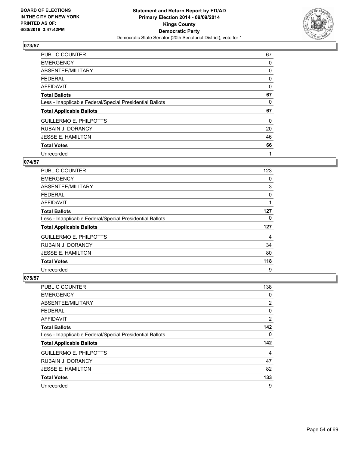

| PUBLIC COUNTER                                           | 67          |
|----------------------------------------------------------|-------------|
| <b>EMERGENCY</b>                                         | 0           |
| ABSENTEE/MILITARY                                        | 0           |
| <b>FEDERAL</b>                                           | 0           |
| AFFIDAVIT                                                | $\mathbf 0$ |
| <b>Total Ballots</b>                                     | 67          |
| Less - Inapplicable Federal/Special Presidential Ballots | 0           |
| <b>Total Applicable Ballots</b>                          | 67          |
| <b>GUILLERMO E. PHILPOTTS</b>                            | 0           |
| <b>RUBAIN J. DORANCY</b>                                 | 20          |
| <b>JESSE E. HAMILTON</b>                                 | 46          |
| <b>Total Votes</b>                                       | 66          |
| Unrecorded                                               | 1           |

#### **074/57**

| <b>PUBLIC COUNTER</b>                                    | 123 |
|----------------------------------------------------------|-----|
| <b>EMERGENCY</b>                                         | 0   |
| ABSENTEE/MILITARY                                        | 3   |
| <b>FEDERAL</b>                                           | 0   |
| AFFIDAVIT                                                |     |
| <b>Total Ballots</b>                                     | 127 |
| Less - Inapplicable Federal/Special Presidential Ballots | 0   |
| <b>Total Applicable Ballots</b>                          | 127 |
| <b>GUILLERMO E. PHILPOTTS</b>                            | 4   |
| <b>RUBAIN J. DORANCY</b>                                 | 34  |
| <b>JESSE E. HAMILTON</b>                                 | 80  |
| <b>Total Votes</b>                                       | 118 |
| Unrecorded                                               | 9   |

| PUBLIC COUNTER                                           | 138 |
|----------------------------------------------------------|-----|
| <b>EMERGENCY</b>                                         | 0   |
| ABSENTEE/MILITARY                                        | 2   |
| <b>FEDERAL</b>                                           | 0   |
| AFFIDAVIT                                                | 2   |
| <b>Total Ballots</b>                                     | 142 |
| Less - Inapplicable Federal/Special Presidential Ballots | 0   |
| <b>Total Applicable Ballots</b>                          | 142 |
| <b>GUILLERMO E. PHILPOTTS</b>                            | 4   |
| <b>RUBAIN J. DORANCY</b>                                 | 47  |
| <b>JESSE E. HAMILTON</b>                                 | 82  |
| <b>Total Votes</b>                                       | 133 |
| Unrecorded                                               | 9   |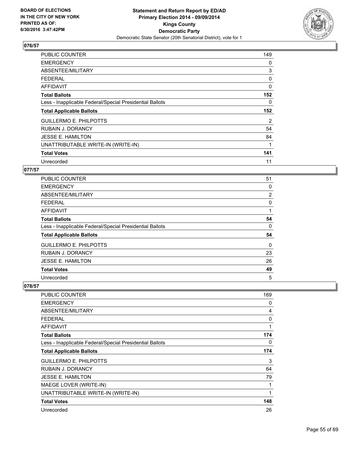

| <b>PUBLIC COUNTER</b>                                    | 149 |
|----------------------------------------------------------|-----|
| <b>EMERGENCY</b>                                         | 0   |
| ABSENTEE/MILITARY                                        | 3   |
| <b>FEDERAL</b>                                           | 0   |
| AFFIDAVIT                                                | 0   |
| <b>Total Ballots</b>                                     | 152 |
| Less - Inapplicable Federal/Special Presidential Ballots | 0   |
| <b>Total Applicable Ballots</b>                          | 152 |
| <b>GUILLERMO E. PHILPOTTS</b>                            | 2   |
| <b>RUBAIN J. DORANCY</b>                                 | 54  |
| <b>JESSE E. HAMILTON</b>                                 | 84  |
| UNATTRIBUTABLE WRITE-IN (WRITE-IN)                       | 1   |
| <b>Total Votes</b>                                       | 141 |
| Unrecorded                                               | 11  |

## **077/57**

| PUBLIC COUNTER                                           | 51 |
|----------------------------------------------------------|----|
| <b>EMERGENCY</b>                                         | 0  |
| ABSENTEE/MILITARY                                        | 2  |
| <b>FEDERAL</b>                                           | 0  |
| AFFIDAVIT                                                | 1  |
| <b>Total Ballots</b>                                     | 54 |
| Less - Inapplicable Federal/Special Presidential Ballots | 0  |
| <b>Total Applicable Ballots</b>                          | 54 |
| <b>GUILLERMO E. PHILPOTTS</b>                            | 0  |
| <b>RUBAIN J. DORANCY</b>                                 | 23 |
| <b>JESSE E. HAMILTON</b>                                 | 26 |
| <b>Total Votes</b>                                       | 49 |
| Unrecorded                                               | 5  |

| PUBLIC COUNTER                                           | 169 |
|----------------------------------------------------------|-----|
| <b>EMERGENCY</b>                                         | 0   |
| ABSENTEE/MILITARY                                        | 4   |
| <b>FEDERAL</b>                                           | 0   |
| <b>AFFIDAVIT</b>                                         | 1   |
| <b>Total Ballots</b>                                     | 174 |
| Less - Inapplicable Federal/Special Presidential Ballots | 0   |
| <b>Total Applicable Ballots</b>                          | 174 |
| <b>GUILLERMO E. PHILPOTTS</b>                            | 3   |
| <b>RUBAIN J. DORANCY</b>                                 | 64  |
| <b>JESSE E. HAMILTON</b>                                 | 79  |
| MAEGE LOVER (WRITE-IN)                                   | 1   |
| UNATTRIBUTABLE WRITE-IN (WRITE-IN)                       | 1   |
| <b>Total Votes</b>                                       | 148 |
| Unrecorded                                               | 26  |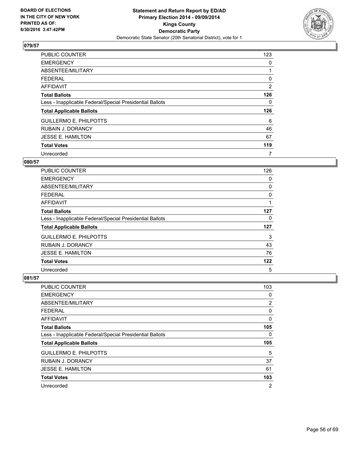

| <b>PUBLIC COUNTER</b>                                    | 123 |
|----------------------------------------------------------|-----|
| <b>EMERGENCY</b>                                         | 0   |
| ABSENTEE/MILITARY                                        |     |
| <b>FEDERAL</b>                                           | 0   |
| AFFIDAVIT                                                | 2   |
| <b>Total Ballots</b>                                     | 126 |
| Less - Inapplicable Federal/Special Presidential Ballots | 0   |
| <b>Total Applicable Ballots</b>                          | 126 |
| <b>GUILLERMO E. PHILPOTTS</b>                            | 6   |
| <b>RUBAIN J. DORANCY</b>                                 | 46  |
| <b>JESSE E. HAMILTON</b>                                 | 67  |
| <b>Total Votes</b>                                       | 119 |
| Unrecorded                                               | 7   |

#### **080/57**

| <b>PUBLIC COUNTER</b>                                    | 126 |
|----------------------------------------------------------|-----|
| <b>EMERGENCY</b>                                         | 0   |
| ABSENTEE/MILITARY                                        | 0   |
| <b>FEDERAL</b>                                           | 0   |
| AFFIDAVIT                                                |     |
| <b>Total Ballots</b>                                     | 127 |
| Less - Inapplicable Federal/Special Presidential Ballots | 0   |
| <b>Total Applicable Ballots</b>                          | 127 |
| <b>GUILLERMO E. PHILPOTTS</b>                            | 3   |
| <b>RUBAIN J. DORANCY</b>                                 | 43  |
| <b>JESSE E. HAMILTON</b>                                 | 76  |
| <b>Total Votes</b>                                       | 122 |
| Unrecorded                                               | 5   |

| PUBLIC COUNTER                                           | 103            |
|----------------------------------------------------------|----------------|
| <b>EMERGENCY</b>                                         | 0              |
| ABSENTEE/MILITARY                                        | 2              |
| <b>FEDERAL</b>                                           | 0              |
| AFFIDAVIT                                                | 0              |
| <b>Total Ballots</b>                                     | 105            |
| Less - Inapplicable Federal/Special Presidential Ballots | 0              |
| <b>Total Applicable Ballots</b>                          | 105            |
| <b>GUILLERMO E. PHILPOTTS</b>                            | 5              |
| <b>RUBAIN J. DORANCY</b>                                 | 37             |
| <b>JESSE E. HAMILTON</b>                                 | 61             |
| <b>Total Votes</b>                                       | 103            |
| Unrecorded                                               | $\overline{2}$ |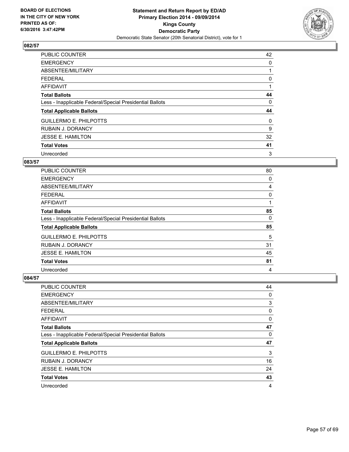

| PUBLIC COUNTER                                           | 42 |
|----------------------------------------------------------|----|
| <b>EMERGENCY</b>                                         | 0  |
| ABSENTEE/MILITARY                                        |    |
| <b>FEDERAL</b>                                           | 0  |
| AFFIDAVIT                                                |    |
| <b>Total Ballots</b>                                     | 44 |
| Less - Inapplicable Federal/Special Presidential Ballots | 0  |
| <b>Total Applicable Ballots</b>                          | 44 |
| <b>GUILLERMO E. PHILPOTTS</b>                            | 0  |
| <b>RUBAIN J. DORANCY</b>                                 | 9  |
| <b>JESSE E. HAMILTON</b>                                 | 32 |
| <b>Total Votes</b>                                       | 41 |
| Unrecorded                                               | 3  |

#### **083/57**

| <b>PUBLIC COUNTER</b>                                    | 80 |
|----------------------------------------------------------|----|
| <b>EMERGENCY</b>                                         | 0  |
| ABSENTEE/MILITARY                                        | 4  |
| <b>FEDERAL</b>                                           | 0  |
| AFFIDAVIT                                                |    |
| <b>Total Ballots</b>                                     | 85 |
| Less - Inapplicable Federal/Special Presidential Ballots | 0  |
| <b>Total Applicable Ballots</b>                          | 85 |
| <b>GUILLERMO E. PHILPOTTS</b>                            | 5  |
| <b>RUBAIN J. DORANCY</b>                                 | 31 |
| <b>JESSE E. HAMILTON</b>                                 | 45 |
| <b>Total Votes</b>                                       | 81 |
| Unrecorded                                               | 4  |

| <b>PUBLIC COUNTER</b>                                    | 44 |
|----------------------------------------------------------|----|
| <b>EMERGENCY</b>                                         | 0  |
| ABSENTEE/MILITARY                                        | 3  |
| <b>FEDERAL</b>                                           | 0  |
| <b>AFFIDAVIT</b>                                         | 0  |
| <b>Total Ballots</b>                                     | 47 |
| Less - Inapplicable Federal/Special Presidential Ballots | 0  |
| <b>Total Applicable Ballots</b>                          | 47 |
| <b>GUILLERMO E. PHILPOTTS</b>                            | 3  |
| <b>RUBAIN J. DORANCY</b>                                 | 16 |
| <b>JESSE E. HAMILTON</b>                                 | 24 |
| <b>Total Votes</b>                                       | 43 |
| Unrecorded                                               | 4  |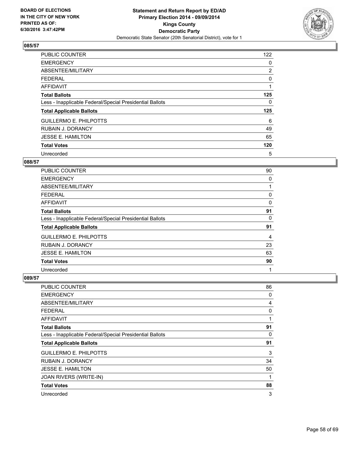

| <b>PUBLIC COUNTER</b>                                    | 122            |
|----------------------------------------------------------|----------------|
| <b>EMERGENCY</b>                                         | 0              |
| ABSENTEE/MILITARY                                        | $\overline{2}$ |
| <b>FEDERAL</b>                                           | 0              |
| AFFIDAVIT                                                |                |
| <b>Total Ballots</b>                                     | 125            |
| Less - Inapplicable Federal/Special Presidential Ballots | 0              |
| <b>Total Applicable Ballots</b>                          | 125            |
| <b>GUILLERMO E. PHILPOTTS</b>                            | 6              |
| <b>RUBAIN J. DORANCY</b>                                 | 49             |
| <b>JESSE E. HAMILTON</b>                                 | 65             |
| <b>Total Votes</b>                                       | 120            |
| Unrecorded                                               | 5              |

#### **088/57**

| <b>PUBLIC COUNTER</b>                                    | 90 |
|----------------------------------------------------------|----|
| <b>EMERGENCY</b>                                         | 0  |
| ABSENTEE/MILITARY                                        |    |
| <b>FEDERAL</b>                                           | 0  |
| AFFIDAVIT                                                | 0  |
| <b>Total Ballots</b>                                     | 91 |
| Less - Inapplicable Federal/Special Presidential Ballots | 0  |
| <b>Total Applicable Ballots</b>                          | 91 |
| <b>GUILLERMO E. PHILPOTTS</b>                            | 4  |
| <b>RUBAIN J. DORANCY</b>                                 | 23 |
| <b>JESSE E. HAMILTON</b>                                 | 63 |
| <b>Total Votes</b>                                       | 90 |
| Unrecorded                                               | 1  |

| <b>PUBLIC COUNTER</b>                                    | 86 |
|----------------------------------------------------------|----|
| <b>EMERGENCY</b>                                         | 0  |
| ABSENTEE/MILITARY                                        | 4  |
| <b>FEDERAL</b>                                           | 0  |
| AFFIDAVIT                                                | 1  |
| <b>Total Ballots</b>                                     | 91 |
| Less - Inapplicable Federal/Special Presidential Ballots | 0  |
| <b>Total Applicable Ballots</b>                          | 91 |
| <b>GUILLERMO E. PHILPOTTS</b>                            | 3  |
| <b>RUBAIN J. DORANCY</b>                                 | 34 |
| <b>JESSE E. HAMILTON</b>                                 | 50 |
| JOAN RIVERS (WRITE-IN)                                   | 1  |
| <b>Total Votes</b>                                       | 88 |
| Unrecorded                                               | 3  |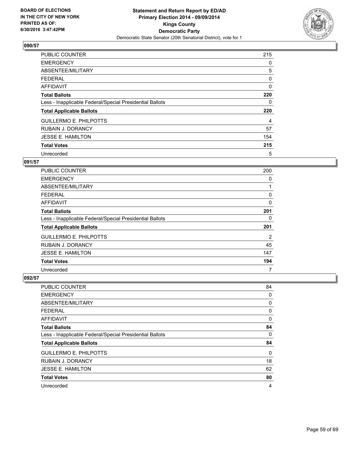

| <b>PUBLIC COUNTER</b>                                    | 215 |
|----------------------------------------------------------|-----|
| <b>EMERGENCY</b>                                         | 0   |
| ABSENTEE/MILITARY                                        | 5   |
| <b>FEDERAL</b>                                           | 0   |
| <b>AFFIDAVIT</b>                                         | 0   |
| <b>Total Ballots</b>                                     | 220 |
| Less - Inapplicable Federal/Special Presidential Ballots | 0   |
| <b>Total Applicable Ballots</b>                          | 220 |
| <b>GUILLERMO E. PHILPOTTS</b>                            | 4   |
| <b>RUBAIN J. DORANCY</b>                                 | 57  |
| <b>JESSE E. HAMILTON</b>                                 | 154 |
| <b>Total Votes</b>                                       | 215 |
| Unrecorded                                               | 5   |

# **091/57**

| <b>PUBLIC COUNTER</b>                                    | 200 |
|----------------------------------------------------------|-----|
| <b>EMERGENCY</b>                                         | 0   |
| ABSENTEE/MILITARY                                        |     |
| <b>FEDERAL</b>                                           | 0   |
| AFFIDAVIT                                                | 0   |
| <b>Total Ballots</b>                                     | 201 |
| Less - Inapplicable Federal/Special Presidential Ballots | 0   |
| <b>Total Applicable Ballots</b>                          | 201 |
| <b>GUILLERMO E. PHILPOTTS</b>                            | 2   |
| <b>RUBAIN J. DORANCY</b>                                 | 45  |
| <b>JESSE E. HAMILTON</b>                                 | 147 |
| <b>Total Votes</b>                                       | 194 |
| Unrecorded                                               | 7   |

| PUBLIC COUNTER                                           | 84 |
|----------------------------------------------------------|----|
| <b>EMERGENCY</b>                                         | 0  |
| ABSENTEE/MILITARY                                        | 0  |
| <b>FEDERAL</b>                                           | 0  |
| AFFIDAVIT                                                | 0  |
| <b>Total Ballots</b>                                     | 84 |
| Less - Inapplicable Federal/Special Presidential Ballots | 0  |
| <b>Total Applicable Ballots</b>                          | 84 |
| <b>GUILLERMO E. PHILPOTTS</b>                            | 0  |
| <b>RUBAIN J. DORANCY</b>                                 | 18 |
| <b>JESSE E. HAMILTON</b>                                 | 62 |
| <b>Total Votes</b>                                       | 80 |
| Unrecorded                                               | 4  |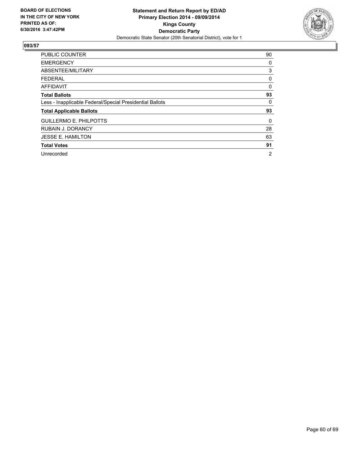

| <b>PUBLIC COUNTER</b>                                    | 90 |
|----------------------------------------------------------|----|
| <b>EMERGENCY</b>                                         | 0  |
| ABSENTEE/MILITARY                                        | 3  |
| <b>FEDERAL</b>                                           | 0  |
| <b>AFFIDAVIT</b>                                         | 0  |
| <b>Total Ballots</b>                                     | 93 |
| Less - Inapplicable Federal/Special Presidential Ballots | 0  |
| <b>Total Applicable Ballots</b>                          | 93 |
| <b>GUILLERMO E. PHILPOTTS</b>                            | 0  |
| <b>RUBAIN J. DORANCY</b>                                 | 28 |
| <b>JESSE E. HAMILTON</b>                                 | 63 |
| <b>Total Votes</b>                                       | 91 |
| Unrecorded                                               | 2  |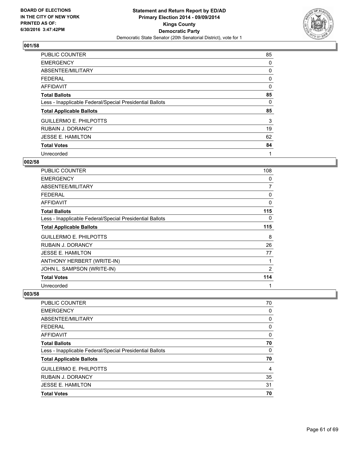

| PUBLIC COUNTER                                           | 85       |
|----------------------------------------------------------|----------|
| <b>EMERGENCY</b>                                         | 0        |
| ABSENTEE/MILITARY                                        | 0        |
| FEDERAL                                                  | 0        |
| AFFIDAVIT                                                | $\Omega$ |
| <b>Total Ballots</b>                                     | 85       |
| Less - Inapplicable Federal/Special Presidential Ballots | 0        |
| <b>Total Applicable Ballots</b>                          | 85       |
| <b>GUILLERMO E. PHILPOTTS</b>                            | 3        |
| <b>RUBAIN J. DORANCY</b>                                 | 19       |
| <b>JESSE E. HAMILTON</b>                                 | 62       |
| <b>Total Votes</b>                                       | 84       |
| Unrecorded                                               | 1        |

## **002/58**

| PUBLIC COUNTER                                           | 108            |
|----------------------------------------------------------|----------------|
| <b>EMERGENCY</b>                                         | 0              |
| ABSENTEE/MILITARY                                        | 7              |
| <b>FEDERAL</b>                                           | 0              |
| <b>AFFIDAVIT</b>                                         | $\mathbf 0$    |
| <b>Total Ballots</b>                                     | 115            |
| Less - Inapplicable Federal/Special Presidential Ballots | 0              |
| <b>Total Applicable Ballots</b>                          | 115            |
| <b>GUILLERMO E. PHILPOTTS</b>                            | 8              |
| <b>RUBAIN J. DORANCY</b>                                 | 26             |
| <b>JESSE E. HAMILTON</b>                                 | 77             |
| ANTHONY HERBERT (WRITE-IN)                               | 1              |
| JOHN L. SAMPSON (WRITE-IN)                               | $\overline{2}$ |
| <b>Total Votes</b>                                       | 114            |
| Unrecorded                                               | 1              |

| PUBLIC COUNTER                                           | 70 |
|----------------------------------------------------------|----|
| <b>EMERGENCY</b>                                         | 0  |
| ABSENTEE/MILITARY                                        | 0  |
| FEDERAL                                                  | 0  |
| AFFIDAVIT                                                | 0  |
| <b>Total Ballots</b>                                     | 70 |
| Less - Inapplicable Federal/Special Presidential Ballots | 0  |
| <b>Total Applicable Ballots</b>                          | 70 |
| <b>GUILLERMO E. PHILPOTTS</b>                            | 4  |
| <b>RUBAIN J. DORANCY</b>                                 | 35 |
| <b>JESSE E. HAMILTON</b>                                 | 31 |
| <b>Total Votes</b>                                       | 70 |
|                                                          |    |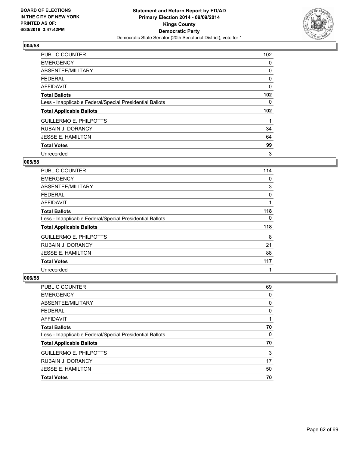

| <b>PUBLIC COUNTER</b>                                    | 102              |
|----------------------------------------------------------|------------------|
| <b>EMERGENCY</b>                                         | 0                |
| ABSENTEE/MILITARY                                        | 0                |
| <b>FEDERAL</b>                                           | 0                |
| <b>AFFIDAVIT</b>                                         | 0                |
| <b>Total Ballots</b>                                     | 102 <sub>2</sub> |
| Less - Inapplicable Federal/Special Presidential Ballots | 0                |
| <b>Total Applicable Ballots</b>                          | 102 <sub>2</sub> |
| <b>GUILLERMO E. PHILPOTTS</b>                            |                  |
| <b>RUBAIN J. DORANCY</b>                                 | 34               |
| <b>JESSE E. HAMILTON</b>                                 | 64               |
| <b>Total Votes</b>                                       | 99               |
| Unrecorded                                               | 3                |

#### **005/58**

| <b>PUBLIC COUNTER</b>                                    | 114 |
|----------------------------------------------------------|-----|
| <b>EMERGENCY</b>                                         | 0   |
| ABSENTEE/MILITARY                                        | 3   |
| <b>FEDERAL</b>                                           | 0   |
| AFFIDAVIT                                                |     |
| <b>Total Ballots</b>                                     | 118 |
| Less - Inapplicable Federal/Special Presidential Ballots | 0   |
| <b>Total Applicable Ballots</b>                          | 118 |
| <b>GUILLERMO E. PHILPOTTS</b>                            | 8   |
| <b>RUBAIN J. DORANCY</b>                                 | 21  |
| <b>JESSE E. HAMILTON</b>                                 | 88  |
| <b>Total Votes</b>                                       | 117 |
| Unrecorded                                               | 1   |

| <b>PUBLIC COUNTER</b>                                    | 69 |
|----------------------------------------------------------|----|
| <b>EMERGENCY</b>                                         | 0  |
| ABSENTEE/MILITARY                                        | 0  |
| <b>FEDERAL</b>                                           | 0  |
| <b>AFFIDAVIT</b>                                         |    |
| <b>Total Ballots</b>                                     | 70 |
| Less - Inapplicable Federal/Special Presidential Ballots | 0  |
| <b>Total Applicable Ballots</b>                          | 70 |
| <b>GUILLERMO E. PHILPOTTS</b>                            | 3  |
| <b>RUBAIN J. DORANCY</b>                                 | 17 |
| <b>JESSE E. HAMILTON</b>                                 | 50 |
| <b>Total Votes</b>                                       | 70 |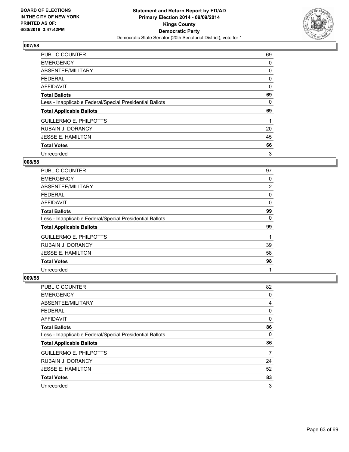

| <b>PUBLIC COUNTER</b>                                    | 69 |
|----------------------------------------------------------|----|
| <b>EMERGENCY</b>                                         | 0  |
| ABSENTEE/MILITARY                                        | 0  |
| <b>FEDERAL</b>                                           | 0  |
| AFFIDAVIT                                                | 0  |
| <b>Total Ballots</b>                                     | 69 |
| Less - Inapplicable Federal/Special Presidential Ballots | 0  |
| <b>Total Applicable Ballots</b>                          | 69 |
| <b>GUILLERMO E. PHILPOTTS</b>                            |    |
| <b>RUBAIN J. DORANCY</b>                                 | 20 |
| <b>JESSE E. HAMILTON</b>                                 | 45 |
| <b>Total Votes</b>                                       | 66 |
| Unrecorded                                               | 3  |

#### **008/58**

| <b>PUBLIC COUNTER</b>                                    | 97 |
|----------------------------------------------------------|----|
| <b>EMERGENCY</b>                                         | 0  |
| ABSENTEE/MILITARY                                        | 2  |
| <b>FEDERAL</b>                                           | 0  |
| AFFIDAVIT                                                | 0  |
| <b>Total Ballots</b>                                     | 99 |
| Less - Inapplicable Federal/Special Presidential Ballots | 0  |
| <b>Total Applicable Ballots</b>                          | 99 |
| <b>GUILLERMO E. PHILPOTTS</b>                            |    |
| <b>RUBAIN J. DORANCY</b>                                 | 39 |
| <b>JESSE E. HAMILTON</b>                                 | 58 |
| <b>Total Votes</b>                                       | 98 |
| Unrecorded                                               | 1  |

| PUBLIC COUNTER                                           | 82 |
|----------------------------------------------------------|----|
| <b>EMERGENCY</b>                                         | 0  |
| ABSENTEE/MILITARY                                        | 4  |
| <b>FEDERAL</b>                                           | 0  |
| <b>AFFIDAVIT</b>                                         | 0  |
| <b>Total Ballots</b>                                     | 86 |
| Less - Inapplicable Federal/Special Presidential Ballots | 0  |
| <b>Total Applicable Ballots</b>                          | 86 |
| <b>GUILLERMO E. PHILPOTTS</b>                            | 7  |
| <b>RUBAIN J. DORANCY</b>                                 | 24 |
| <b>JESSE E. HAMILTON</b>                                 | 52 |
| <b>Total Votes</b>                                       | 83 |
| Unrecorded                                               | 3  |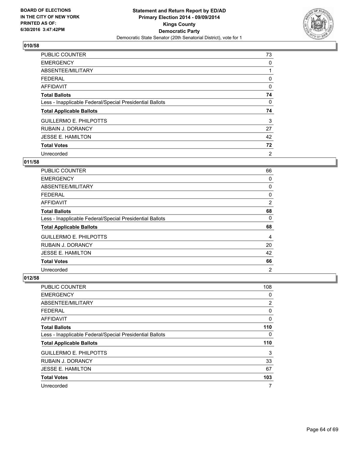

| <b>PUBLIC COUNTER</b>                                    | 73 |
|----------------------------------------------------------|----|
| <b>EMERGENCY</b>                                         | 0  |
| ABSENTEE/MILITARY                                        |    |
| <b>FEDERAL</b>                                           | 0  |
| <b>AFFIDAVIT</b>                                         | 0  |
| <b>Total Ballots</b>                                     | 74 |
| Less - Inapplicable Federal/Special Presidential Ballots | 0  |
| <b>Total Applicable Ballots</b>                          | 74 |
| <b>GUILLERMO E. PHILPOTTS</b>                            | 3  |
| <b>RUBAIN J. DORANCY</b>                                 | 27 |
| <b>JESSE E. HAMILTON</b>                                 | 42 |
| <b>Total Votes</b>                                       | 72 |
| Unrecorded                                               | 2  |

# **011/58**

| <b>PUBLIC COUNTER</b>                                    | 66             |
|----------------------------------------------------------|----------------|
| <b>EMERGENCY</b>                                         | 0              |
| ABSENTEE/MILITARY                                        | 0              |
| <b>FEDERAL</b>                                           | 0              |
| AFFIDAVIT                                                | $\overline{2}$ |
| <b>Total Ballots</b>                                     | 68             |
| Less - Inapplicable Federal/Special Presidential Ballots | 0              |
| <b>Total Applicable Ballots</b>                          | 68             |
| <b>GUILLERMO E. PHILPOTTS</b>                            | 4              |
| <b>RUBAIN J. DORANCY</b>                                 | 20             |
| <b>JESSE E. HAMILTON</b>                                 | 42             |
| <b>Total Votes</b>                                       | 66             |
| Unrecorded                                               | $\overline{2}$ |

| PUBLIC COUNTER                                           | 108 |
|----------------------------------------------------------|-----|
| <b>EMERGENCY</b>                                         | 0   |
| ABSENTEE/MILITARY                                        | 2   |
| <b>FEDERAL</b>                                           | 0   |
| <b>AFFIDAVIT</b>                                         | 0   |
| <b>Total Ballots</b>                                     | 110 |
| Less - Inapplicable Federal/Special Presidential Ballots | 0   |
| <b>Total Applicable Ballots</b>                          | 110 |
| <b>GUILLERMO E. PHILPOTTS</b>                            | 3   |
| <b>RUBAIN J. DORANCY</b>                                 | 33  |
| <b>JESSE E. HAMILTON</b>                                 | 67  |
| <b>Total Votes</b>                                       | 103 |
| Unrecorded                                               | 7   |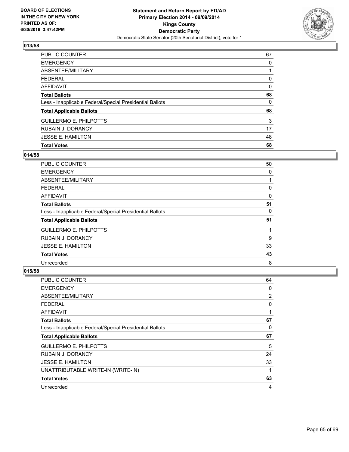

| <b>Total Votes</b>                                       | 68 |
|----------------------------------------------------------|----|
| <b>JESSE E. HAMILTON</b>                                 | 48 |
| <b>RUBAIN J. DORANCY</b>                                 | 17 |
| <b>GUILLERMO E. PHILPOTTS</b>                            | 3  |
| <b>Total Applicable Ballots</b>                          | 68 |
| Less - Inapplicable Federal/Special Presidential Ballots | 0  |
| <b>Total Ballots</b>                                     | 68 |
| <b>AFFIDAVIT</b>                                         | 0  |
| <b>FEDERAL</b>                                           | 0  |
| ABSENTEE/MILITARY                                        |    |
| <b>EMERGENCY</b>                                         | 0  |
| <b>PUBLIC COUNTER</b>                                    | 67 |

## **014/58**

| <b>PUBLIC COUNTER</b>                                    | 50 |
|----------------------------------------------------------|----|
| <b>EMERGENCY</b>                                         | 0  |
| ABSENTEE/MILITARY                                        |    |
| <b>FEDERAL</b>                                           | 0  |
| AFFIDAVIT                                                | 0  |
| <b>Total Ballots</b>                                     | 51 |
| Less - Inapplicable Federal/Special Presidential Ballots | 0  |
| <b>Total Applicable Ballots</b>                          | 51 |
| <b>GUILLERMO E. PHILPOTTS</b>                            |    |
| <b>RUBAIN J. DORANCY</b>                                 | 9  |
| <b>JESSE E. HAMILTON</b>                                 | 33 |
| <b>Total Votes</b>                                       | 43 |
| Unrecorded                                               | 8  |

| <b>PUBLIC COUNTER</b>                                    | 64 |
|----------------------------------------------------------|----|
| <b>EMERGENCY</b>                                         | 0  |
| ABSENTEE/MILITARY                                        | 2  |
| <b>FEDERAL</b>                                           | 0  |
| AFFIDAVIT                                                | 1  |
| <b>Total Ballots</b>                                     | 67 |
| Less - Inapplicable Federal/Special Presidential Ballots | 0  |
| <b>Total Applicable Ballots</b>                          | 67 |
| <b>GUILLERMO E. PHILPOTTS</b>                            | 5  |
| <b>RUBAIN J. DORANCY</b>                                 | 24 |
| <b>JESSE E. HAMILTON</b>                                 | 33 |
| UNATTRIBUTABLE WRITE-IN (WRITE-IN)                       | 1  |
| <b>Total Votes</b>                                       | 63 |
| Unrecorded                                               | 4  |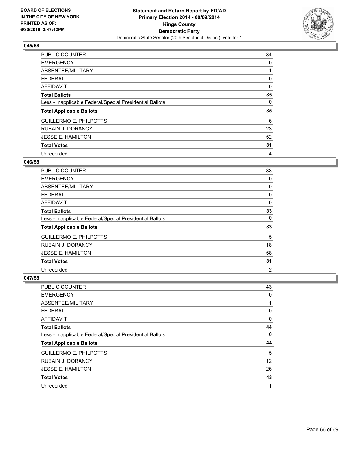

| <b>PUBLIC COUNTER</b>                                    | 84 |
|----------------------------------------------------------|----|
| <b>EMERGENCY</b>                                         | 0  |
| ABSENTEE/MILITARY                                        |    |
| <b>FEDERAL</b>                                           | 0  |
| <b>AFFIDAVIT</b>                                         | 0  |
| <b>Total Ballots</b>                                     | 85 |
| Less - Inapplicable Federal/Special Presidential Ballots | 0  |
| <b>Total Applicable Ballots</b>                          | 85 |
| <b>GUILLERMO E. PHILPOTTS</b>                            | 6  |
| <b>RUBAIN J. DORANCY</b>                                 | 23 |
| <b>JESSE E. HAMILTON</b>                                 | 52 |
| <b>Total Votes</b>                                       | 81 |
| Unrecorded                                               | 4  |

#### **046/58**

| <b>PUBLIC COUNTER</b>                                    | 83             |
|----------------------------------------------------------|----------------|
| <b>EMERGENCY</b>                                         | 0              |
| ABSENTEE/MILITARY                                        | 0              |
| <b>FEDERAL</b>                                           | 0              |
| AFFIDAVIT                                                | 0              |
| <b>Total Ballots</b>                                     | 83             |
| Less - Inapplicable Federal/Special Presidential Ballots | 0              |
| <b>Total Applicable Ballots</b>                          | 83             |
| <b>GUILLERMO E. PHILPOTTS</b>                            | 5              |
| <b>RUBAIN J. DORANCY</b>                                 | 18             |
| <b>JESSE E. HAMILTON</b>                                 | 58             |
| <b>Total Votes</b>                                       | 81             |
| Unrecorded                                               | $\overline{2}$ |

| PUBLIC COUNTER                                           | 43 |
|----------------------------------------------------------|----|
| <b>EMERGENCY</b>                                         | 0  |
| ABSENTEE/MILITARY                                        | 1  |
| <b>FEDERAL</b>                                           | 0  |
| <b>AFFIDAVIT</b>                                         | 0  |
| <b>Total Ballots</b>                                     | 44 |
| Less - Inapplicable Federal/Special Presidential Ballots | 0  |
| <b>Total Applicable Ballots</b>                          | 44 |
| <b>GUILLERMO E. PHILPOTTS</b>                            | 5  |
| <b>RUBAIN J. DORANCY</b>                                 | 12 |
| <b>JESSE E. HAMILTON</b>                                 | 26 |
| <b>Total Votes</b>                                       | 43 |
| Unrecorded                                               | 1  |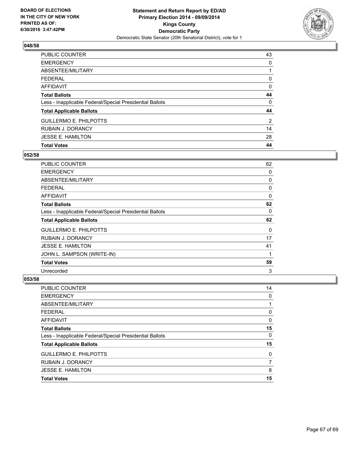

| <b>PUBLIC COUNTER</b>                                    | 43 |
|----------------------------------------------------------|----|
| <b>EMERGENCY</b>                                         | 0  |
| ABSENTEE/MILITARY                                        |    |
| <b>FEDERAL</b>                                           | 0  |
| <b>AFFIDAVIT</b>                                         | 0  |
| <b>Total Ballots</b>                                     | 44 |
| Less - Inapplicable Federal/Special Presidential Ballots | 0  |
| <b>Total Applicable Ballots</b>                          | 44 |
| <b>GUILLERMO E. PHILPOTTS</b>                            | 2  |
| <b>RUBAIN J. DORANCY</b>                                 | 14 |
| <b>JESSE E. HAMILTON</b>                                 | 28 |
| <b>Total Votes</b>                                       | 44 |

## **052/58**

| <b>PUBLIC COUNTER</b>                                    | 62 |
|----------------------------------------------------------|----|
| <b>EMERGENCY</b>                                         | 0  |
| ABSENTEE/MILITARY                                        | 0  |
| <b>FEDERAL</b>                                           | 0  |
| <b>AFFIDAVIT</b>                                         | 0  |
| <b>Total Ballots</b>                                     | 62 |
| Less - Inapplicable Federal/Special Presidential Ballots | 0  |
| <b>Total Applicable Ballots</b>                          | 62 |
| <b>GUILLERMO E. PHILPOTTS</b>                            | 0  |
| RUBAIN J. DORANCY                                        | 17 |
| <b>JESSE E. HAMILTON</b>                                 | 41 |
| JOHN L. SAMPSON (WRITE-IN)                               | 1  |
| <b>Total Votes</b>                                       | 59 |
| Unrecorded                                               | 3  |

| PUBLIC COUNTER                                           | 14 |
|----------------------------------------------------------|----|
| <b>EMERGENCY</b>                                         | 0  |
| <b>ABSENTEE/MILITARY</b>                                 |    |
| <b>FEDERAL</b>                                           | 0  |
| <b>AFFIDAVIT</b>                                         | 0  |
| <b>Total Ballots</b>                                     | 15 |
| Less - Inapplicable Federal/Special Presidential Ballots | 0  |
| <b>Total Applicable Ballots</b>                          | 15 |
| <b>GUILLERMO E. PHILPOTTS</b>                            | 0  |
| RUBAIN J. DORANCY                                        | 7  |
| <b>JESSE E. HAMILTON</b>                                 | 8  |
| <b>Total Votes</b>                                       | 15 |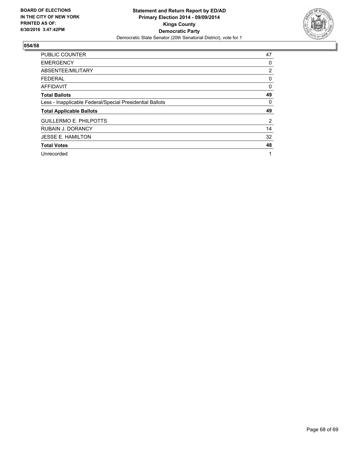

| <b>PUBLIC COUNTER</b>                                    | 47 |
|----------------------------------------------------------|----|
| <b>EMERGENCY</b>                                         | 0  |
| ABSENTEE/MILITARY                                        | 2  |
| <b>FEDERAL</b>                                           | 0  |
| <b>AFFIDAVIT</b>                                         | 0  |
| <b>Total Ballots</b>                                     | 49 |
| Less - Inapplicable Federal/Special Presidential Ballots | 0  |
| <b>Total Applicable Ballots</b>                          | 49 |
| <b>GUILLERMO E. PHILPOTTS</b>                            | 2  |
| <b>RUBAIN J. DORANCY</b>                                 | 14 |
| <b>JESSE E. HAMILTON</b>                                 | 32 |
| <b>Total Votes</b>                                       | 48 |
| Unrecorded                                               | 1  |